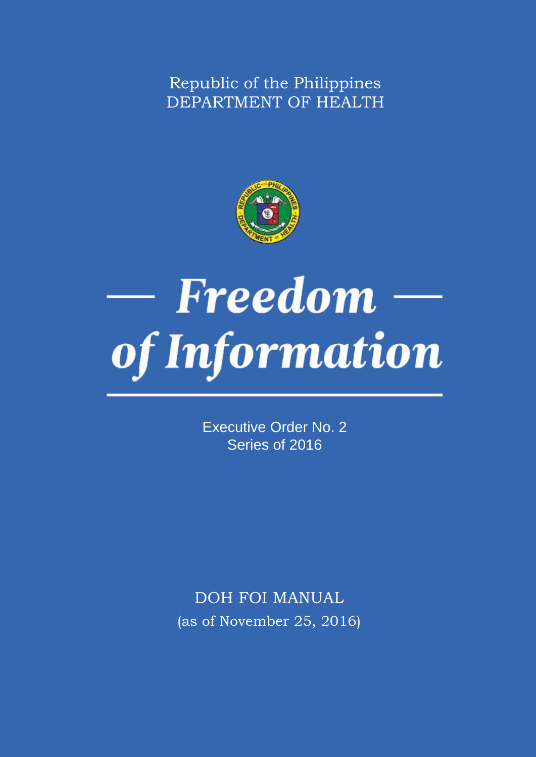Republic of the Philippines DEPARTMENT OF HEALTH



## — Freedom of Information

Executive Order No. 2 Series of 2016

DOH FOI MANUAL (as of November 25, 2016)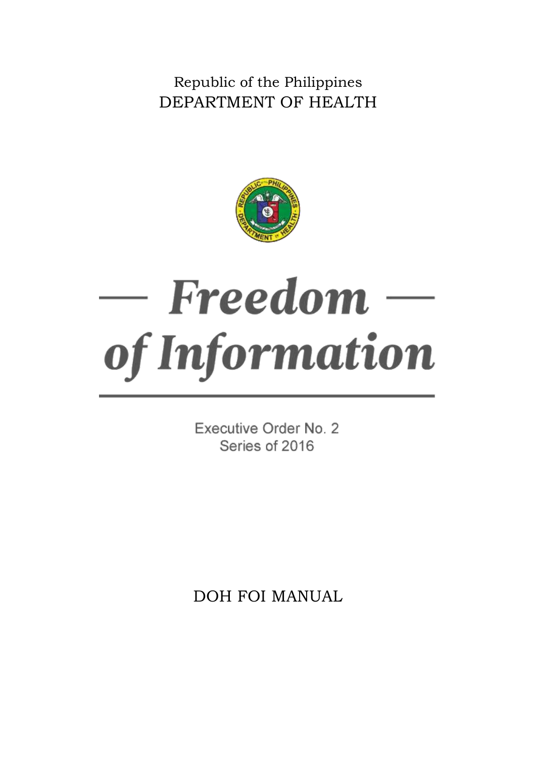Republic of the Philippines DEPARTMENT OF HEALTH



# — Freedom of Information

Executive Order No. 2 Series of 2016

DOH FOI MANUAL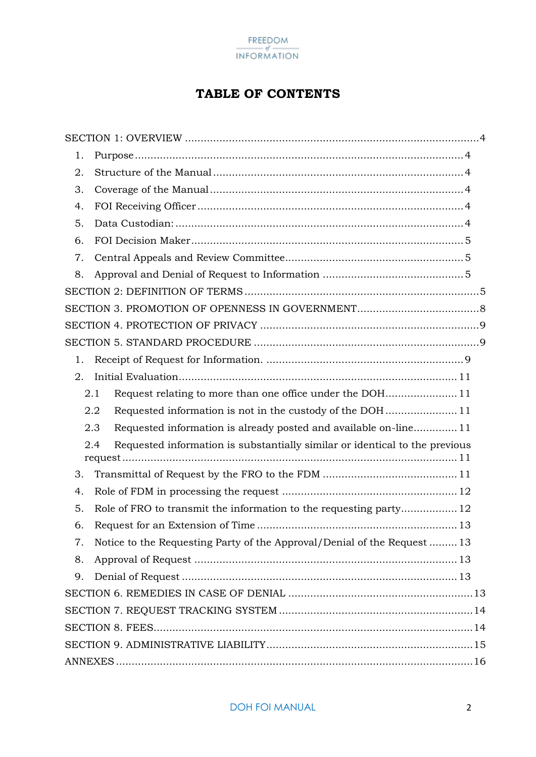

#### **TABLE OF CONTENTS**

| 1.                                                                                 |  |
|------------------------------------------------------------------------------------|--|
| 2.                                                                                 |  |
| 3.                                                                                 |  |
| 4.                                                                                 |  |
| 5.                                                                                 |  |
| 6.                                                                                 |  |
| 7.                                                                                 |  |
| 8.                                                                                 |  |
|                                                                                    |  |
|                                                                                    |  |
|                                                                                    |  |
|                                                                                    |  |
| 1.                                                                                 |  |
| 2.                                                                                 |  |
| 2.1                                                                                |  |
| 2.2                                                                                |  |
| Requested information is already posted and available on-line 11<br>2.3            |  |
| 2.4<br>Requested information is substantially similar or identical to the previous |  |
|                                                                                    |  |
| 3.                                                                                 |  |
| 4.                                                                                 |  |
| 5.<br>Role of FRO to transmit the information to the requesting party 12           |  |
| 6.                                                                                 |  |
| Notice to the Requesting Party of the Approval/Denial of the Request  13<br>7.     |  |
| 8.                                                                                 |  |
| 9.                                                                                 |  |
|                                                                                    |  |
|                                                                                    |  |
|                                                                                    |  |
|                                                                                    |  |
|                                                                                    |  |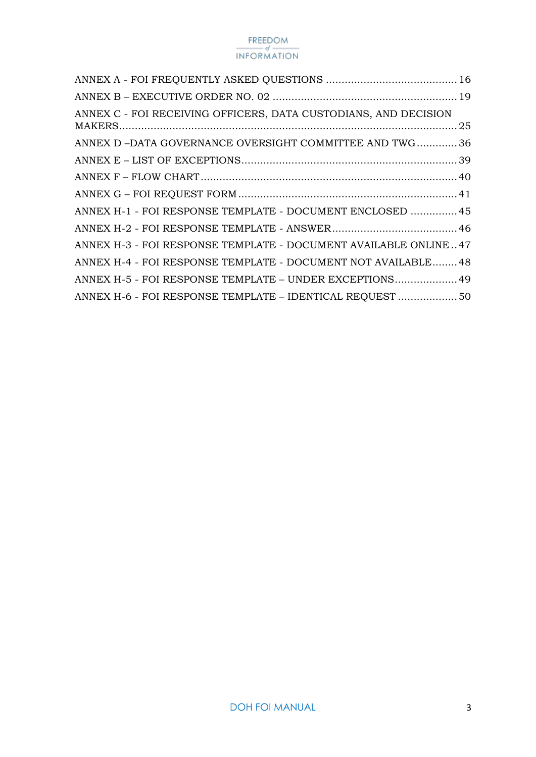| ANNEX C - FOI RECEIVING OFFICERS, DATA CUSTODIANS, AND DECISION |  |
|-----------------------------------------------------------------|--|
| ANNEX D-DATA GOVERNANCE OVERSIGHT COMMITTEE AND TWG36           |  |
|                                                                 |  |
|                                                                 |  |
|                                                                 |  |
| ANNEX H-1 - FOI RESPONSE TEMPLATE - DOCUMENT ENCLOSED  45       |  |
|                                                                 |  |
| ANNEX H-3 - FOI RESPONSE TEMPLATE - DOCUMENT AVAILABLE ONLINE47 |  |
| ANNEX H-4 - FOI RESPONSE TEMPLATE - DOCUMENT NOT AVAILABLE 48   |  |
| ANNEX H-5 - FOI RESPONSE TEMPLATE - UNDER EXCEPTIONS 49         |  |
| ANNEX H-6 - FOI RESPONSE TEMPLATE - IDENTICAL REQUEST  50       |  |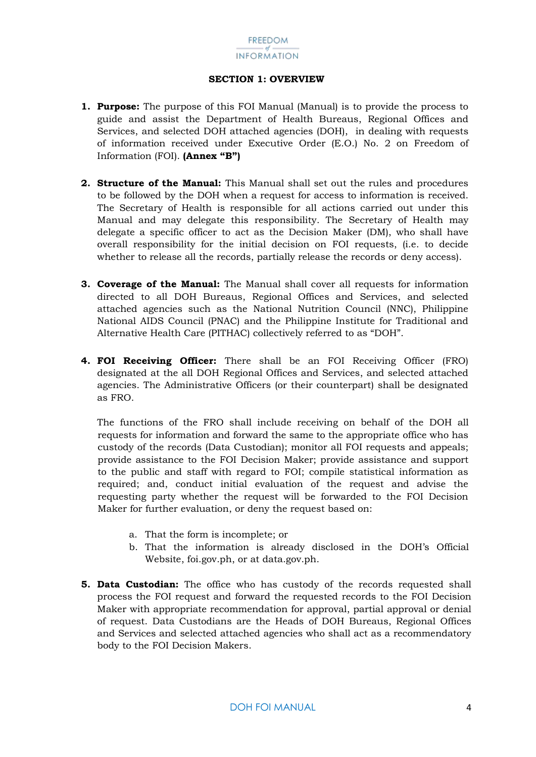#### **SECTION 1: OVERVIEW**

- <span id="page-4-1"></span><span id="page-4-0"></span>**1. Purpose:** The purpose of this FOI Manual (Manual) is to provide the process to guide and assist the Department of Health Bureaus, Regional Offices and Services, and selected DOH attached agencies (DOH), in dealing with requests of information received under Executive Order (E.O.) No. 2 on Freedom of Information (FOI). **(Annex "B")**
- <span id="page-4-2"></span>**2. Structure of the Manual:** This Manual shall set out the rules and procedures to be followed by the DOH when a request for access to information is received. The Secretary of Health is responsible for all actions carried out under this Manual and may delegate this responsibility. The Secretary of Health may delegate a specific officer to act as the Decision Maker (DM), who shall have overall responsibility for the initial decision on FOI requests, (i.e. to decide whether to release all the records, partially release the records or deny access).
- <span id="page-4-3"></span>**3. Coverage of the Manual:** The Manual shall cover all requests for information directed to all DOH Bureaus, Regional Offices and Services, and selected attached agencies such as the National Nutrition Council (NNC), Philippine National AIDS Council (PNAC) and the Philippine Institute for Traditional and Alternative Health Care (PITHAC) collectively referred to as "DOH".
- <span id="page-4-4"></span>**4. FOI Receiving Officer:** There shall be an FOI Receiving Officer (FRO) designated at the all DOH Regional Offices and Services, and selected attached agencies. The Administrative Officers (or their counterpart) shall be designated as FRO.

The functions of the FRO shall include receiving on behalf of the DOH all requests for information and forward the same to the appropriate office who has custody of the records (Data Custodian); monitor all FOI requests and appeals; provide assistance to the FOI Decision Maker; provide assistance and support to the public and staff with regard to FOI; compile statistical information as required; and, conduct initial evaluation of the request and advise the requesting party whether the request will be forwarded to the FOI Decision Maker for further evaluation, or deny the request based on:

- a. That the form is incomplete; or
- b. That the information is already disclosed in the DOH's Official Website, foi.gov.ph, or at data.gov.ph.
- <span id="page-4-5"></span>**5. Data Custodian:** The office who has custody of the records requested shall process the FOI request and forward the requested records to the FOI Decision Maker with appropriate recommendation for approval, partial approval or denial of request. Data Custodians are the Heads of DOH Bureaus, Regional Offices and Services and selected attached agencies who shall act as a recommendatory body to the FOI Decision Makers.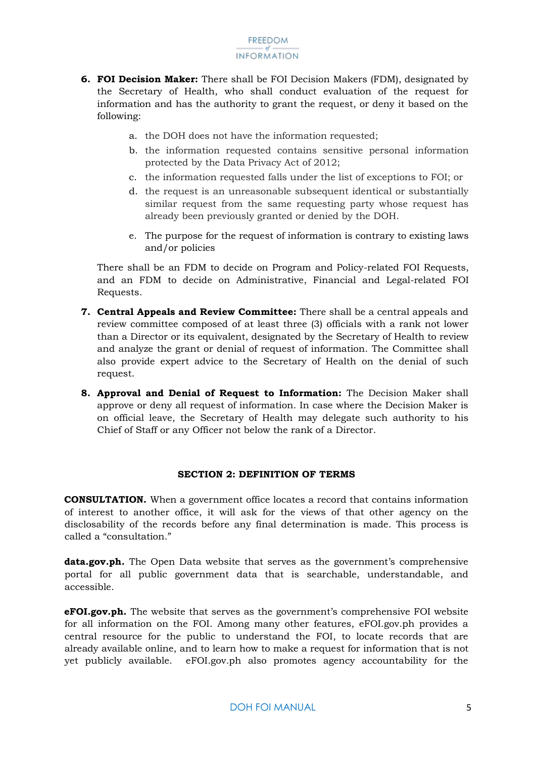- <span id="page-5-0"></span>**6. FOI Decision Maker:** There shall be FOI Decision Makers (FDM), designated by the Secretary of Health, who shall conduct evaluation of the request for information and has the authority to grant the request, or deny it based on the following:
	- a. the DOH does not have the information requested;
	- b. the information requested contains sensitive personal information protected by the Data Privacy Act of 2012;
	- c. the information requested falls under the list of exceptions to FOI; or
	- d. the request is an unreasonable subsequent identical or substantially similar request from the same requesting party whose request has already been previously granted or denied by the DOH.
	- e. The purpose for the request of information is contrary to existing laws and/or policies

There shall be an FDM to decide on Program and Policy-related FOI Requests, and an FDM to decide on Administrative, Financial and Legal-related FOI Requests.

- <span id="page-5-1"></span>**7. Central Appeals and Review Committee:** There shall be a central appeals and review committee composed of at least three (3) officials with a rank not lower than a Director or its equivalent, designated by the Secretary of Health to review and analyze the grant or denial of request of information. The Committee shall also provide expert advice to the Secretary of Health on the denial of such request.
- <span id="page-5-2"></span>**8. Approval and Denial of Request to Information:** The Decision Maker shall approve or deny all request of information. In case where the Decision Maker is on official leave, the Secretary of Health may delegate such authority to his Chief of Staff or any Officer not below the rank of a Director.

#### **SECTION 2: DEFINITION OF TERMS**

<span id="page-5-3"></span>**CONSULTATION.** When a government office locates a record that contains information of interest to another office, it will ask for the views of that other agency on the disclosability of the records before any final determination is made. This process is called a "consultation."

**data.gov.ph.** The Open Data website that serves as the government's comprehensive portal for all public government data that is searchable, understandable, and accessible.

**eFOI.gov.ph.** The website that serves as the government's comprehensive FOI website for all information on the FOI. Among many other features, eFOI.gov.ph provides a central resource for the public to understand the FOI, to locate records that are already available online, and to learn how to make a request for information that is not yet publicly available. eFOI.gov.ph also promotes agency accountability for the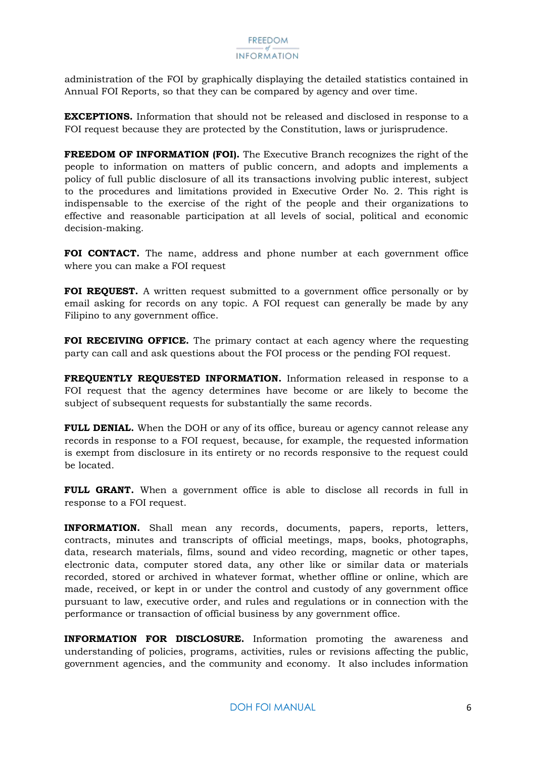administration of the FOI by graphically displaying the detailed statistics contained in Annual FOI Reports, so that they can be compared by agency and over time.

**EXCEPTIONS.** Information that should not be released and disclosed in response to a FOI request because they are protected by the Constitution, laws or jurisprudence.

**FREEDOM OF INFORMATION (FOI).** The Executive Branch recognizes the right of the people to information on matters of public concern, and adopts and implements a policy of full public disclosure of all its transactions involving public interest, subject to the procedures and limitations provided in Executive Order No. 2. This right is indispensable to the exercise of the right of the people and their organizations to effective and reasonable participation at all levels of social, political and economic decision-making.

**FOI CONTACT.** The name, address and phone number at each government office where you can make a FOI request

**FOI REQUEST.** A written request submitted to a government office personally or by email asking for records on any topic. A FOI request can generally be made by any Filipino to any government office.

**FOI RECEIVING OFFICE.** The primary contact at each agency where the requesting party can call and ask questions about the FOI process or the pending FOI request.

**FREQUENTLY REQUESTED INFORMATION.** Information released in response to a FOI request that the agency determines have become or are likely to become the subject of subsequent requests for substantially the same records.

**FULL DENIAL.** When the DOH or any of its office, bureau or agency cannot release any records in response to a FOI request, because, for example, the requested information is exempt from disclosure in its entirety or no records responsive to the request could be located.

**FULL GRANT.** When a government office is able to disclose all records in full in response to a FOI request.

**INFORMATION.** Shall mean any records, documents, papers, reports, letters, contracts, minutes and transcripts of official meetings, maps, books, photographs, data, research materials, films, sound and video recording, magnetic or other tapes, electronic data, computer stored data, any other like or similar data or materials recorded, stored or archived in whatever format, whether offline or online, which are made, received, or kept in or under the control and custody of any government office pursuant to law, executive order, and rules and regulations or in connection with the performance or transaction of official business by any government office.

**INFORMATION FOR DISCLOSURE.** Information promoting the awareness and understanding of policies, programs, activities, rules or revisions affecting the public, government agencies, and the community and economy. It also includes information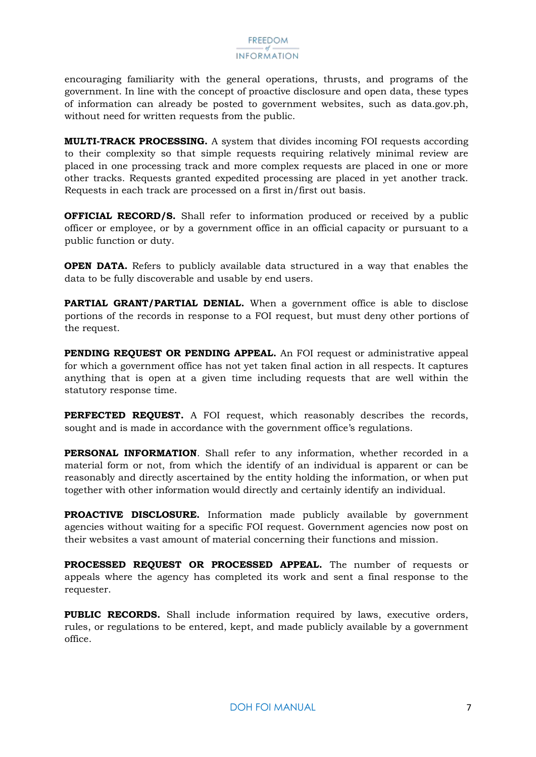encouraging familiarity with the general operations, thrusts, and programs of the government. In line with the concept of proactive disclosure and open data, these types of information can already be posted to government websites, such as data.gov.ph, without need for written requests from the public.

**MULTI-TRACK PROCESSING.** A system that divides incoming FOI requests according to their complexity so that simple requests requiring relatively minimal review are placed in one processing track and more complex requests are placed in one or more other tracks. Requests granted expedited processing are placed in yet another track. Requests in each track are processed on a first in/first out basis.

**OFFICIAL RECORD/S.** Shall refer to information produced or received by a public officer or employee, or by a government office in an official capacity or pursuant to a public function or duty.

**OPEN DATA.** Refers to publicly available data structured in a way that enables the data to be fully discoverable and usable by end users.

**PARTIAL GRANT/PARTIAL DENIAL.** When a government office is able to disclose portions of the records in response to a FOI request, but must deny other portions of the request.

**PENDING REQUEST OR PENDING APPEAL.** An FOI request or administrative appeal for which a government office has not yet taken final action in all respects. It captures anything that is open at a given time including requests that are well within the statutory response time.

**PERFECTED REQUEST.** A FOI request, which reasonably describes the records, sought and is made in accordance with the government office's regulations.

**PERSONAL INFORMATION**. Shall refer to any information, whether recorded in a material form or not, from which the identify of an individual is apparent or can be reasonably and directly ascertained by the entity holding the information, or when put together with other information would directly and certainly identify an individual.

**PROACTIVE DISCLOSURE.** Information made publicly available by government agencies without waiting for a specific FOI request. Government agencies now post on their websites a vast amount of material concerning their functions and mission.

**PROCESSED REQUEST OR PROCESSED APPEAL.** The number of requests or appeals where the agency has completed its work and sent a final response to the requester.

**PUBLIC RECORDS.** Shall include information required by laws, executive orders, rules, or regulations to be entered, kept, and made publicly available by a government office.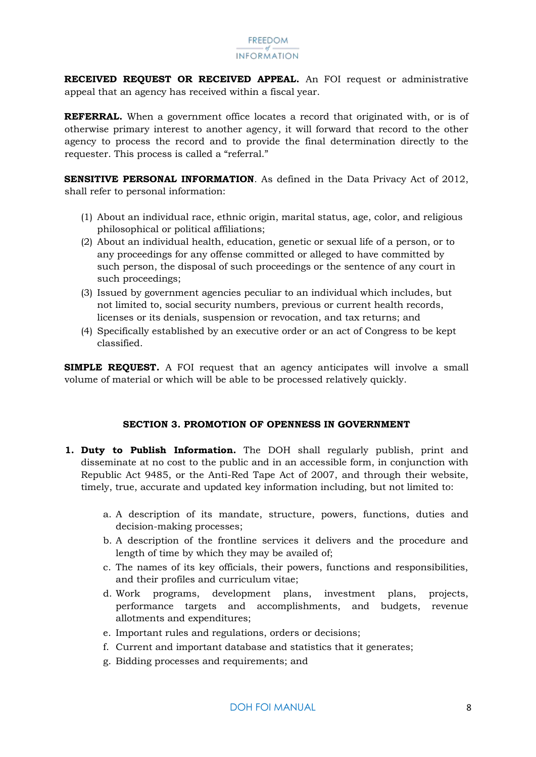**RECEIVED REQUEST OR RECEIVED APPEAL.** An FOI request or administrative appeal that an agency has received within a fiscal year.

**REFERRAL.** When a government office locates a record that originated with, or is of otherwise primary interest to another agency, it will forward that record to the other agency to process the record and to provide the final determination directly to the requester. This process is called a "referral."

**SENSITIVE PERSONAL INFORMATION**. As defined in the Data Privacy Act of 2012, shall refer to personal information:

- (1) About an individual race, ethnic origin, marital status, age, color, and religious philosophical or political affiliations;
- (2) About an individual health, education, genetic or sexual life of a person, or to any proceedings for any offense committed or alleged to have committed by such person, the disposal of such proceedings or the sentence of any court in such proceedings;
- (3) Issued by government agencies peculiar to an individual which includes, but not limited to, social security numbers, previous or current health records, licenses or its denials, suspension or revocation, and tax returns; and
- (4) Specifically established by an executive order or an act of Congress to be kept classified.

**SIMPLE REQUEST.** A FOI request that an agency anticipates will involve a small volume of material or which will be able to be processed relatively quickly.

#### **SECTION 3. PROMOTION OF OPENNESS IN GOVERNMENT**

- <span id="page-8-0"></span>**1. Duty to Publish Information.** The DOH shall regularly publish, print and disseminate at no cost to the public and in an accessible form, in conjunction with Republic Act 9485, or the Anti-Red Tape Act of 2007, and through their website, timely, true, accurate and updated key information including, but not limited to:
	- a. A description of its mandate, structure, powers, functions, duties and decision-making processes;
	- b. A description of the frontline services it delivers and the procedure and length of time by which they may be availed of;
	- c. The names of its key officials, their powers, functions and responsibilities, and their profiles and curriculum vitae;
	- d. Work programs, development plans, investment plans, projects, performance targets and accomplishments, and budgets, revenue allotments and expenditures;
	- e. Important rules and regulations, orders or decisions;
	- f. Current and important database and statistics that it generates;
	- g. Bidding processes and requirements; and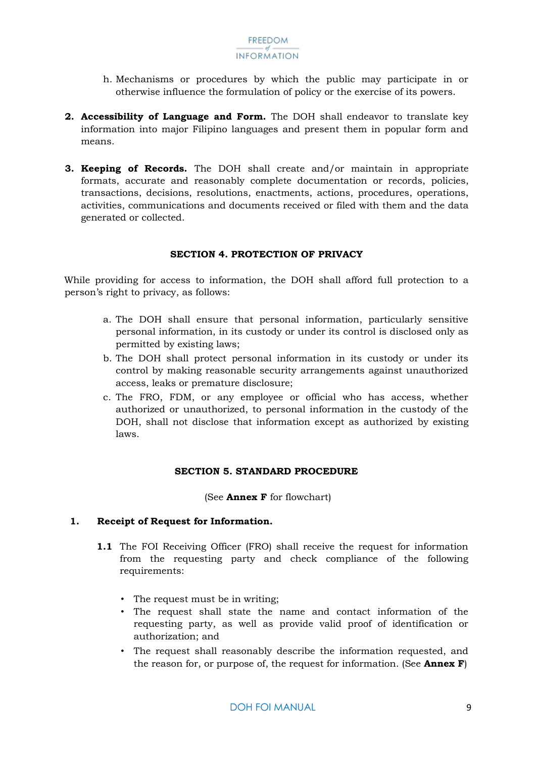- h. Mechanisms or procedures by which the public may participate in or otherwise influence the formulation of policy or the exercise of its powers.
- **2. Accessibility of Language and Form.** The DOH shall endeavor to translate key information into major Filipino languages and present them in popular form and means.
- **3. Keeping of Records.** The DOH shall create and/or maintain in appropriate formats, accurate and reasonably complete documentation or records, policies, transactions, decisions, resolutions, enactments, actions, procedures, operations, activities, communications and documents received or filed with them and the data generated or collected.

#### **SECTION 4. PROTECTION OF PRIVACY**

<span id="page-9-0"></span>While providing for access to information, the DOH shall afford full protection to a person's right to privacy, as follows:

- a. The DOH shall ensure that personal information, particularly sensitive personal information, in its custody or under its control is disclosed only as permitted by existing laws;
- b. The DOH shall protect personal information in its custody or under its control by making reasonable security arrangements against unauthorized access, leaks or premature disclosure;
- c. The FRO, FDM, or any employee or official who has access, whether authorized or unauthorized, to personal information in the custody of the DOH, shall not disclose that information except as authorized by existing laws.

#### **SECTION 5. STANDARD PROCEDURE**

(See **Annex F** for flowchart)

#### <span id="page-9-2"></span><span id="page-9-1"></span>**1. Receipt of Request for Information.**

- **1.1** The FOI Receiving Officer (FRO) shall receive the request for information from the requesting party and check compliance of the following requirements:
	- The request must be in writing;
	- The request shall state the name and contact information of the requesting party, as well as provide valid proof of identification or authorization; and
	- The request shall reasonably describe the information requested, and the reason for, or purpose of, the request for information. (See **Annex F**)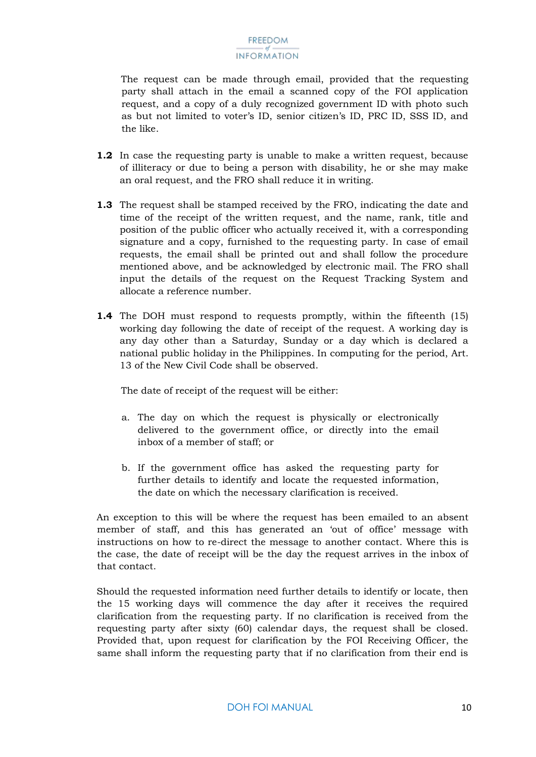The request can be made through email, provided that the requesting party shall attach in the email a scanned copy of the FOI application request, and a copy of a duly recognized government ID with photo such as but not limited to voter's ID, senior citizen's ID, PRC ID, SSS ID, and the like.

- **1.2** In case the requesting party is unable to make a written request, because of illiteracy or due to being a person with disability, he or she may make an oral request, and the FRO shall reduce it in writing.
- **1.3** The request shall be stamped received by the FRO, indicating the date and time of the receipt of the written request, and the name, rank, title and position of the public officer who actually received it, with a corresponding signature and a copy, furnished to the requesting party. In case of email requests, the email shall be printed out and shall follow the procedure mentioned above, and be acknowledged by electronic mail. The FRO shall input the details of the request on the Request Tracking System and allocate a reference number.
- **1.4** The DOH must respond to requests promptly, within the fifteenth (15) working day following the date of receipt of the request. A working day is any day other than a Saturday, Sunday or a day which is declared a national public holiday in the Philippines. In computing for the period, Art. 13 of the New Civil Code shall be observed.

The date of receipt of the request will be either:

- a. The day on which the request is physically or electronically delivered to the government office, or directly into the email inbox of a member of staff; or
- b. If the government office has asked the requesting party for further details to identify and locate the requested information, the date on which the necessary clarification is received.

An exception to this will be where the request has been emailed to an absent member of staff, and this has generated an 'out of office' message with instructions on how to re-direct the message to another contact. Where this is the case, the date of receipt will be the day the request arrives in the inbox of that contact.

Should the requested information need further details to identify or locate, then the 15 working days will commence the day after it receives the required clarification from the requesting party. If no clarification is received from the requesting party after sixty (60) calendar days, the request shall be closed. Provided that, upon request for clarification by the FOI Receiving Officer, the same shall inform the requesting party that if no clarification from their end is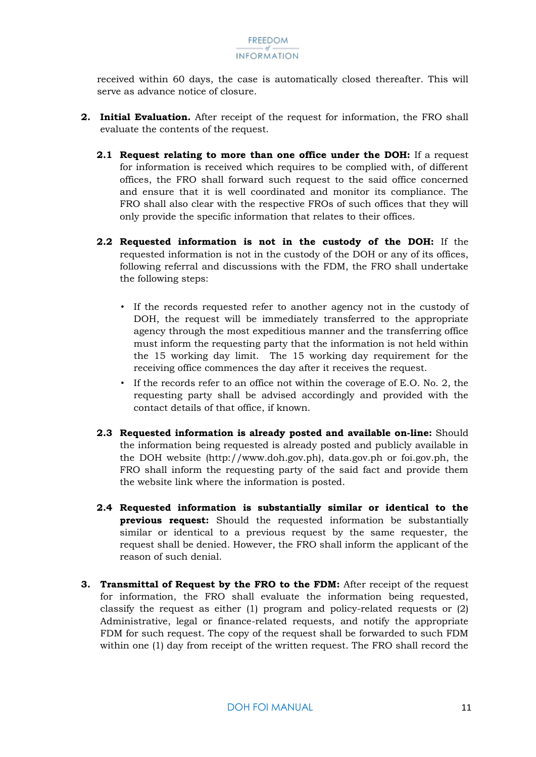received within 60 days, the case is automatically closed thereafter. This will serve as advance notice of closure.

- <span id="page-11-2"></span><span id="page-11-1"></span><span id="page-11-0"></span>**2. Initial Evaluation.** After receipt of the request for information, the FRO shall evaluate the contents of the request.
	- **2.1 Request relating to more than one office under the DOH:** If a request for information is received which requires to be complied with, of different offices, the FRO shall forward such request to the said office concerned and ensure that it is well coordinated and monitor its compliance. The FRO shall also clear with the respective FROs of such offices that they will only provide the specific information that relates to their offices.
	- **2.2 Requested information is not in the custody of the DOH:** If the requested information is not in the custody of the DOH or any of its offices, following referral and discussions with the FDM, the FRO shall undertake the following steps:
		- If the records requested refer to another agency not in the custody of DOH, the request will be immediately transferred to the appropriate agency through the most expeditious manner and the transferring office must inform the requesting party that the information is not held within the 15 working day limit. The 15 working day requirement for the receiving office commences the day after it receives the request.
		- If the records refer to an office not within the coverage of E.O. No. 2, the requesting party shall be advised accordingly and provided with the contact details of that office, if known.
	- **2.3 Requested information is already posted and available on-line:** Should the information being requested is already posted and publicly available in the DOH website (http://www.doh.gov.ph), data.gov.ph or foi.gov.ph, the FRO shall inform the requesting party of the said fact and provide them the website link where the information is posted.
	- **2.4 Requested information is substantially similar or identical to the previous request:** Should the requested information be substantially similar or identical to a previous request by the same requester, the request shall be denied. However, the FRO shall inform the applicant of the reason of such denial.
- <span id="page-11-5"></span><span id="page-11-4"></span><span id="page-11-3"></span>**3. Transmittal of Request by the FRO to the FDM:** After receipt of the request for information, the FRO shall evaluate the information being requested, classify the request as either (1) program and policy-related requests or (2) Administrative, legal or finance-related requests, and notify the appropriate FDM for such request. The copy of the request shall be forwarded to such FDM within one (1) day from receipt of the written request. The FRO shall record the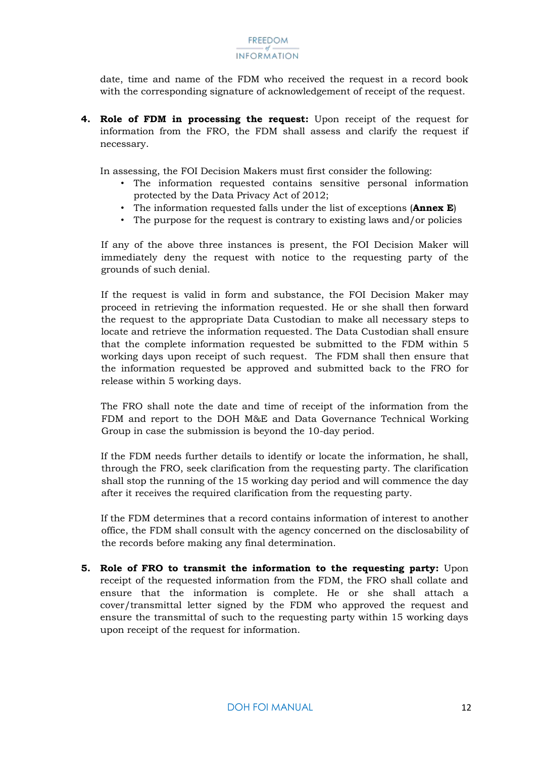date, time and name of the FDM who received the request in a record book with the corresponding signature of acknowledgement of receipt of the request.

<span id="page-12-0"></span>**4. Role of FDM in processing the request:** Upon receipt of the request for information from the FRO, the FDM shall assess and clarify the request if necessary.

In assessing, the FOI Decision Makers must first consider the following:

- The information requested contains sensitive personal information protected by the Data Privacy Act of 2012;
- The information requested falls under the list of exceptions (**Annex E**)
- The purpose for the request is contrary to existing laws and/or policies

If any of the above three instances is present, the FOI Decision Maker will immediately deny the request with notice to the requesting party of the grounds of such denial.

If the request is valid in form and substance, the FOI Decision Maker may proceed in retrieving the information requested. He or she shall then forward the request to the appropriate Data Custodian to make all necessary steps to locate and retrieve the information requested. The Data Custodian shall ensure that the complete information requested be submitted to the FDM within 5 working days upon receipt of such request. The FDM shall then ensure that the information requested be approved and submitted back to the FRO for release within 5 working days.

The FRO shall note the date and time of receipt of the information from the FDM and report to the DOH M&E and Data Governance Technical Working Group in case the submission is beyond the 10-day period.

If the FDM needs further details to identify or locate the information, he shall, through the FRO, seek clarification from the requesting party. The clarification shall stop the running of the 15 working day period and will commence the day after it receives the required clarification from the requesting party.

If the FDM determines that a record contains information of interest to another office, the FDM shall consult with the agency concerned on the disclosability of the records before making any final determination.

<span id="page-12-1"></span>**5. Role of FRO to transmit the information to the requesting party:** Upon receipt of the requested information from the FDM, the FRO shall collate and ensure that the information is complete. He or she shall attach a cover/transmittal letter signed by the FDM who approved the request and ensure the transmittal of such to the requesting party within 15 working days upon receipt of the request for information.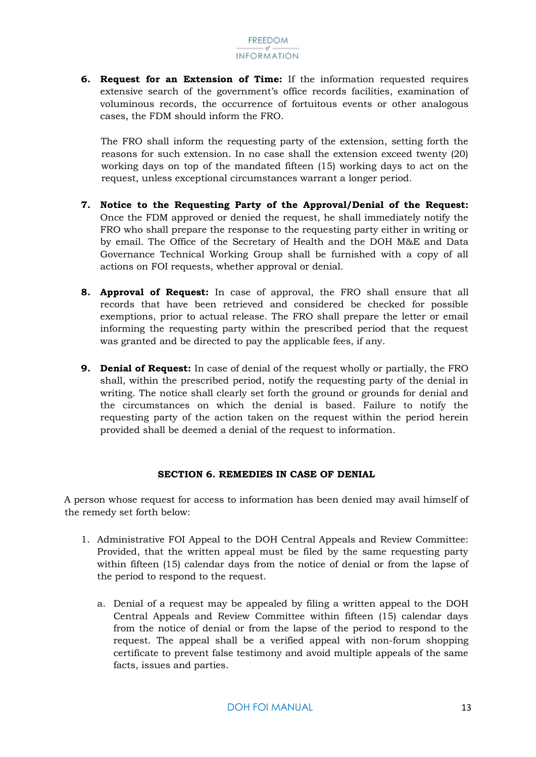<span id="page-13-0"></span>**6. Request for an Extension of Time:** If the information requested requires extensive search of the government's office records facilities, examination of voluminous records, the occurrence of fortuitous events or other analogous cases, the FDM should inform the FRO.

The FRO shall inform the requesting party of the extension, setting forth the reasons for such extension. In no case shall the extension exceed twenty (20) working days on top of the mandated fifteen (15) working days to act on the request, unless exceptional circumstances warrant a longer period.

- <span id="page-13-1"></span>**7. Notice to the Requesting Party of the Approval/Denial of the Request:**  Once the FDM approved or denied the request, he shall immediately notify the FRO who shall prepare the response to the requesting party either in writing or by email. The Office of the Secretary of Health and the DOH M&E and Data Governance Technical Working Group shall be furnished with a copy of all actions on FOI requests, whether approval or denial.
- <span id="page-13-2"></span>**8. Approval of Request:** In case of approval, the FRO shall ensure that all records that have been retrieved and considered be checked for possible exemptions, prior to actual release. The FRO shall prepare the letter or email informing the requesting party within the prescribed period that the request was granted and be directed to pay the applicable fees, if any.
- <span id="page-13-3"></span>**9. Denial of Request:** In case of denial of the request wholly or partially, the FRO shall, within the prescribed period, notify the requesting party of the denial in writing. The notice shall clearly set forth the ground or grounds for denial and the circumstances on which the denial is based. Failure to notify the requesting party of the action taken on the request within the period herein provided shall be deemed a denial of the request to information.

#### **SECTION 6. REMEDIES IN CASE OF DENIAL**

<span id="page-13-4"></span>A person whose request for access to information has been denied may avail himself of the remedy set forth below:

- 1. Administrative FOI Appeal to the DOH Central Appeals and Review Committee: Provided, that the written appeal must be filed by the same requesting party within fifteen (15) calendar days from the notice of denial or from the lapse of the period to respond to the request.
	- a. Denial of a request may be appealed by filing a written appeal to the DOH Central Appeals and Review Committee within fifteen (15) calendar days from the notice of denial or from the lapse of the period to respond to the request. The appeal shall be a verified appeal with non-forum shopping certificate to prevent false testimony and avoid multiple appeals of the same facts, issues and parties.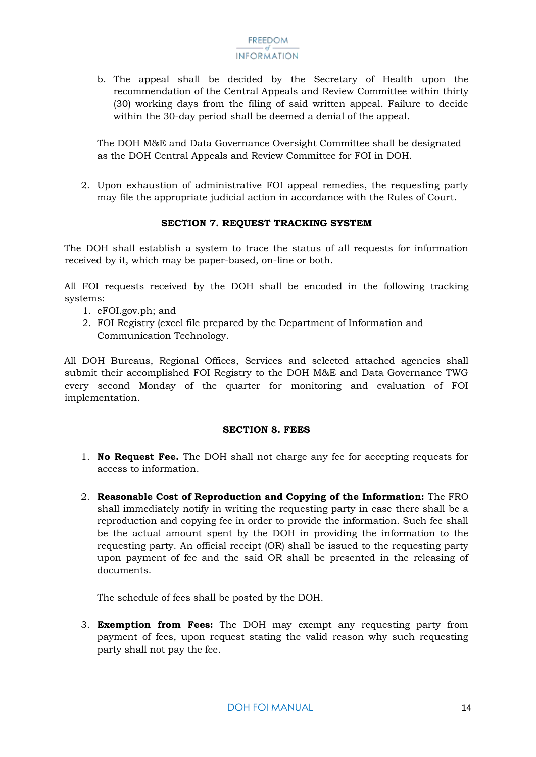b. The appeal shall be decided by the Secretary of Health upon the recommendation of the Central Appeals and Review Committee within thirty (30) working days from the filing of said written appeal. Failure to decide within the 30-day period shall be deemed a denial of the appeal.

The DOH M&E and Data Governance Oversight Committee shall be designated as the DOH Central Appeals and Review Committee for FOI in DOH.

2. Upon exhaustion of administrative FOI appeal remedies, the requesting party may file the appropriate judicial action in accordance with the Rules of Court.

#### **SECTION 7. REQUEST TRACKING SYSTEM**

<span id="page-14-0"></span>The DOH shall establish a system to trace the status of all requests for information received by it, which may be paper-based, on-line or both.

All FOI requests received by the DOH shall be encoded in the following tracking systems:

- 1. eFOI.gov.ph; and
- 2. FOI Registry (excel file prepared by the Department of Information and Communication Technology.

All DOH Bureaus, Regional Offices, Services and selected attached agencies shall submit their accomplished FOI Registry to the DOH M&E and Data Governance TWG every second Monday of the quarter for monitoring and evaluation of FOI implementation.

#### **SECTION 8. FEES**

- <span id="page-14-1"></span>1. **No Request Fee.** The DOH shall not charge any fee for accepting requests for access to information.
- 2. **Reasonable Cost of Reproduction and Copying of the Information:** The FRO shall immediately notify in writing the requesting party in case there shall be a reproduction and copying fee in order to provide the information. Such fee shall be the actual amount spent by the DOH in providing the information to the requesting party. An official receipt (OR) shall be issued to the requesting party upon payment of fee and the said OR shall be presented in the releasing of documents.

The schedule of fees shall be posted by the DOH.

3. **Exemption from Fees:** The DOH may exempt any requesting party from payment of fees, upon request stating the valid reason why such requesting party shall not pay the fee.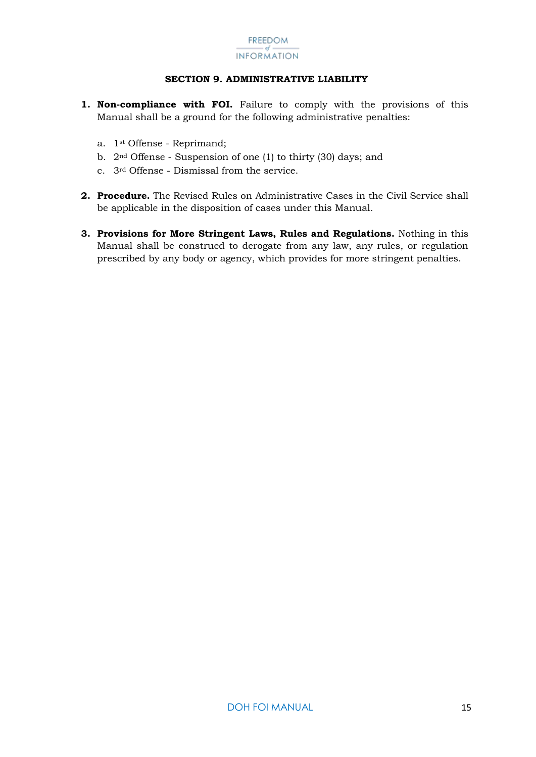

#### **SECTION 9. ADMINISTRATIVE LIABILITY**

- <span id="page-15-0"></span>**1. Non-compliance with FOI.** Failure to comply with the provisions of this Manual shall be a ground for the following administrative penalties:
	- a. 1st Offense Reprimand;
	- b. 2nd Offense Suspension of one (1) to thirty (30) days; and
	- c. 3rd Offense Dismissal from the service.
- **2. Procedure.** The Revised Rules on Administrative Cases in the Civil Service shall be applicable in the disposition of cases under this Manual.
- **3. Provisions for More Stringent Laws, Rules and Regulations.** Nothing in this Manual shall be construed to derogate from any law, any rules, or regulation prescribed by any body or agency, which provides for more stringent penalties.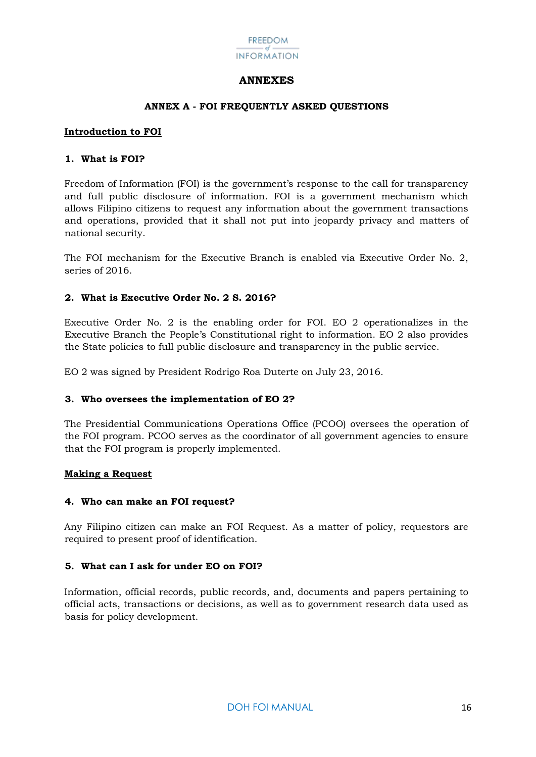

#### **ANNEXES**

#### **ANNEX A - FOI FREQUENTLY ASKED QUESTIONS**

#### <span id="page-16-1"></span><span id="page-16-0"></span>**Introduction to FOI**

#### **1. What is FOI?**

Freedom of Information (FOI) is the government's response to the call for transparency and full public disclosure of information. FOI is a government mechanism which allows Filipino citizens to request any information about the government transactions and operations, provided that it shall not put into jeopardy privacy and matters of national security.

The FOI mechanism for the Executive Branch is enabled via Executive Order No. 2, series of 2016.

#### **2. What is Executive Order No. 2 S. 2016?**

Executive Order No. 2 is the enabling order for FOI. EO 2 operationalizes in the Executive Branch the People's Constitutional right to information. EO 2 also provides the State policies to full public disclosure and transparency in the public service.

EO 2 was signed by President Rodrigo Roa Duterte on July 23, 2016.

#### **3. Who oversees the implementation of EO 2?**

The Presidential Communications Operations Office (PCOO) oversees the operation of the FOI program. PCOO serves as the coordinator of all government agencies to ensure that the FOI program is properly implemented.

#### **Making a Request**

#### **4. Who can make an FOI request?**

Any Filipino citizen can make an FOI Request. As a matter of policy, requestors are required to present proof of identification.

#### **5. What can I ask for under EO on FOI?**

Information, official records, public records, and, documents and papers pertaining to official acts, transactions or decisions, as well as to government research data used as basis for policy development.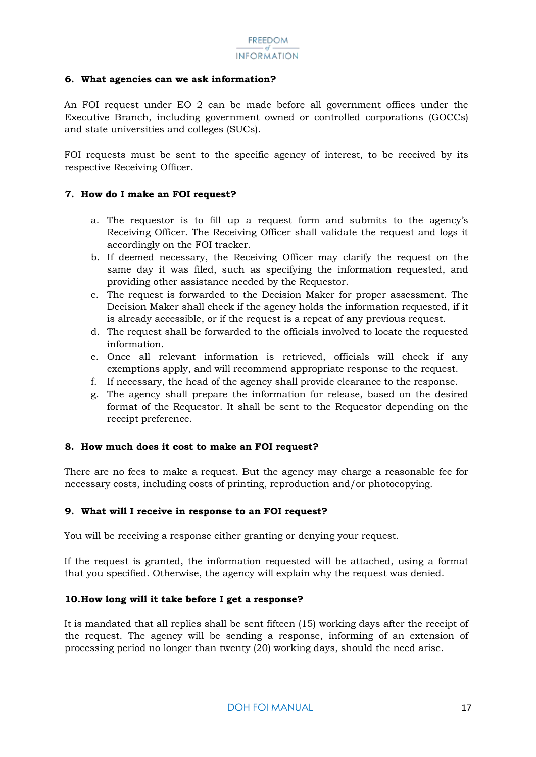#### **6. What agencies can we ask information?**

An FOI request under EO 2 can be made before all government offices under the Executive Branch, including government owned or controlled corporations (GOCCs) and state universities and colleges (SUCs).

FOI requests must be sent to the specific agency of interest, to be received by its respective Receiving Officer.

#### **7. How do I make an FOI request?**

- a. The requestor is to fill up a request form and submits to the agency's Receiving Officer. The Receiving Officer shall validate the request and logs it accordingly on the FOI tracker.
- b. If deemed necessary, the Receiving Officer may clarify the request on the same day it was filed, such as specifying the information requested, and providing other assistance needed by the Requestor.
- c. The request is forwarded to the Decision Maker for proper assessment. The Decision Maker shall check if the agency holds the information requested, if it is already accessible, or if the request is a repeat of any previous request.
- d. The request shall be forwarded to the officials involved to locate the requested information.
- e. Once all relevant information is retrieved, officials will check if any exemptions apply, and will recommend appropriate response to the request.
- f. If necessary, the head of the agency shall provide clearance to the response.
- g. The agency shall prepare the information for release, based on the desired format of the Requestor. It shall be sent to the Requestor depending on the receipt preference.

#### **8. How much does it cost to make an FOI request?**

There are no fees to make a request. But the agency may charge a reasonable fee for necessary costs, including costs of printing, reproduction and/or photocopying.

#### **9. What will I receive in response to an FOI request?**

You will be receiving a response either granting or denying your request.

If the request is granted, the information requested will be attached, using a format that you specified. Otherwise, the agency will explain why the request was denied.

#### **10.How long will it take before I get a response?**

It is mandated that all replies shall be sent fifteen (15) working days after the receipt of the request. The agency will be sending a response, informing of an extension of processing period no longer than twenty (20) working days, should the need arise.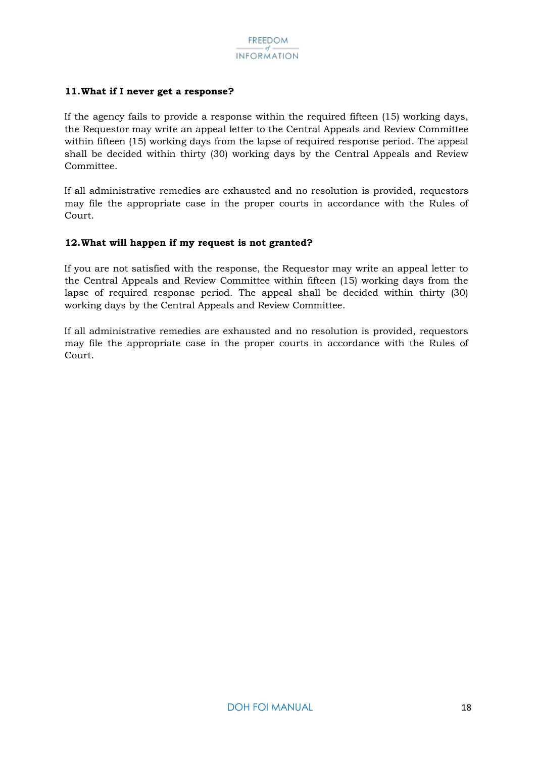#### **11.What if I never get a response?**

If the agency fails to provide a response within the required fifteen (15) working days, the Requestor may write an appeal letter to the Central Appeals and Review Committee within fifteen (15) working days from the lapse of required response period. The appeal shall be decided within thirty (30) working days by the Central Appeals and Review Committee.

If all administrative remedies are exhausted and no resolution is provided, requestors may file the appropriate case in the proper courts in accordance with the Rules of Court.

#### **12.What will happen if my request is not granted?**

If you are not satisfied with the response, the Requestor may write an appeal letter to the Central Appeals and Review Committee within fifteen (15) working days from the lapse of required response period. The appeal shall be decided within thirty (30) working days by the Central Appeals and Review Committee.

If all administrative remedies are exhausted and no resolution is provided, requestors may file the appropriate case in the proper courts in accordance with the Rules of Court.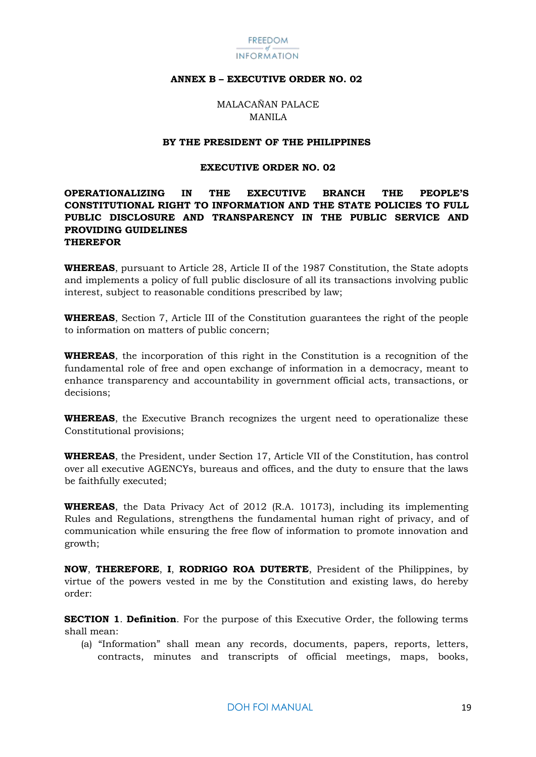

#### <span id="page-19-0"></span>**ANNEX B – EXECUTIVE ORDER NO. 02**

MALACAÑAN PALACE MANILA

#### **BY THE PRESIDENT OF THE PHILIPPINES**

#### **EXECUTIVE ORDER NO. 02**

#### **OPERATIONALIZING IN THE EXECUTIVE BRANCH THE PEOPLE'S CONSTITUTIONAL RIGHT TO INFORMATION AND THE STATE POLICIES TO FULL PUBLIC DISCLOSURE AND TRANSPARENCY IN THE PUBLIC SERVICE AND PROVIDING GUIDELINES THEREFOR**

**WHEREAS**, pursuant to Article 28, Article II of the 1987 Constitution, the State adopts and implements a policy of full public disclosure of all its transactions involving public interest, subject to reasonable conditions prescribed by law;

**WHEREAS**, Section 7, Article III of the Constitution guarantees the right of the people to information on matters of public concern;

**WHEREAS**, the incorporation of this right in the Constitution is a recognition of the fundamental role of free and open exchange of information in a democracy, meant to enhance transparency and accountability in government official acts, transactions, or decisions;

**WHEREAS**, the Executive Branch recognizes the urgent need to operationalize these Constitutional provisions;

**WHEREAS**, the President, under Section 17, Article VII of the Constitution, has control over all executive AGENCYs, bureaus and offices, and the duty to ensure that the laws be faithfully executed;

**WHEREAS**, the Data Privacy Act of 2012 (R.A. 10173), including its implementing Rules and Regulations, strengthens the fundamental human right of privacy, and of communication while ensuring the free flow of information to promote innovation and growth;

**NOW**, **THEREFORE**, **I**, **RODRIGO ROA DUTERTE**, President of the Philippines, by virtue of the powers vested in me by the Constitution and existing laws, do hereby order:

**SECTION 1**. **Definition**. For the purpose of this Executive Order, the following terms shall mean:

(a) "Information" shall mean any records, documents, papers, reports, letters, contracts, minutes and transcripts of official meetings, maps, books,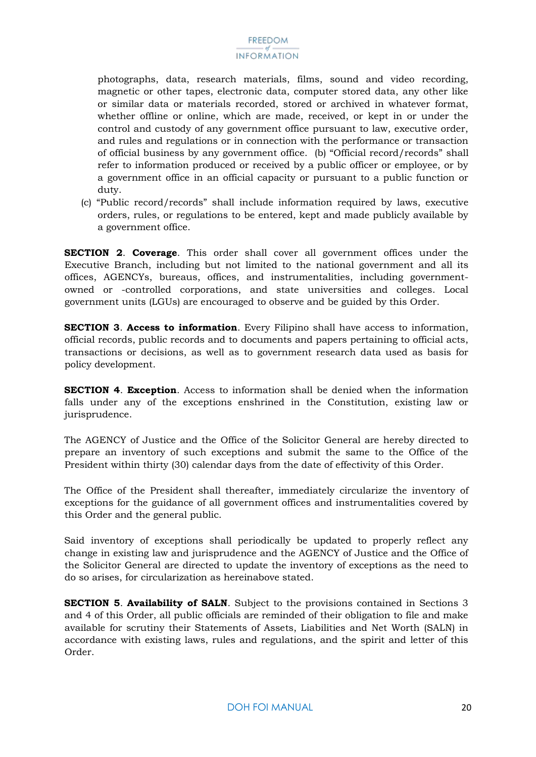photographs, data, research materials, films, sound and video recording, magnetic or other tapes, electronic data, computer stored data, any other like or similar data or materials recorded, stored or archived in whatever format, whether offline or online, which are made, received, or kept in or under the control and custody of any government office pursuant to law, executive order, and rules and regulations or in connection with the performance or transaction of official business by any government office. (b) "Official record/records" shall refer to information produced or received by a public officer or employee, or by a government office in an official capacity or pursuant to a public function or duty.

(c) "Public record/records" shall include information required by laws, executive orders, rules, or regulations to be entered, kept and made publicly available by a government office.

**SECTION 2**. **Coverage**. This order shall cover all government offices under the Executive Branch, including but not limited to the national government and all its offices, AGENCYs, bureaus, offices, and instrumentalities, including governmentowned or -controlled corporations, and state universities and colleges. Local government units (LGUs) are encouraged to observe and be guided by this Order.

**SECTION 3**. **Access to information**. Every Filipino shall have access to information, official records, public records and to documents and papers pertaining to official acts, transactions or decisions, as well as to government research data used as basis for policy development.

**SECTION 4**. **Exception**. Access to information shall be denied when the information falls under any of the exceptions enshrined in the Constitution, existing law or jurisprudence.

The AGENCY of Justice and the Office of the Solicitor General are hereby directed to prepare an inventory of such exceptions and submit the same to the Office of the President within thirty (30) calendar days from the date of effectivity of this Order.

The Office of the President shall thereafter, immediately circularize the inventory of exceptions for the guidance of all government offices and instrumentalities covered by this Order and the general public.

Said inventory of exceptions shall periodically be updated to properly reflect any change in existing law and jurisprudence and the AGENCY of Justice and the Office of the Solicitor General are directed to update the inventory of exceptions as the need to do so arises, for circularization as hereinabove stated.

**SECTION 5**. **Availability of SALN**. Subject to the provisions contained in Sections 3 and 4 of this Order, all public officials are reminded of their obligation to file and make available for scrutiny their Statements of Assets, Liabilities and Net Worth (SALN) in accordance with existing laws, rules and regulations, and the spirit and letter of this Order.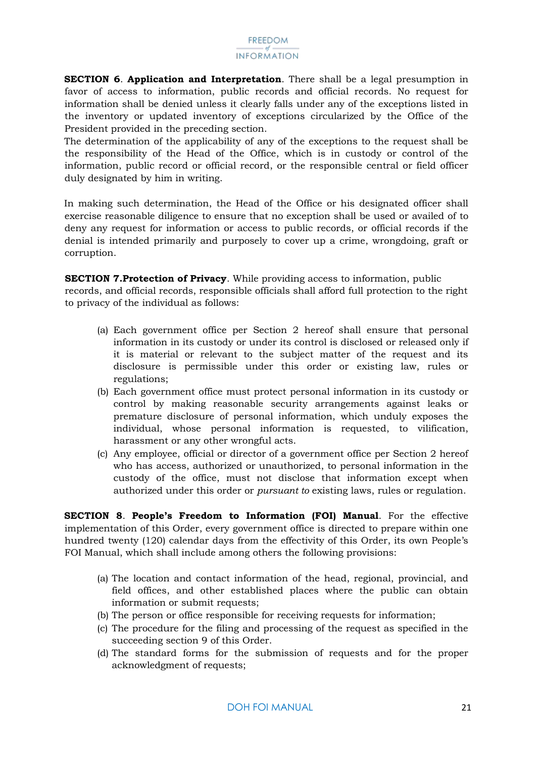**SECTION 6**. **Application and Interpretation**. There shall be a legal presumption in favor of access to information, public records and official records. No request for information shall be denied unless it clearly falls under any of the exceptions listed in the inventory or updated inventory of exceptions circularized by the Office of the President provided in the preceding section.

The determination of the applicability of any of the exceptions to the request shall be the responsibility of the Head of the Office, which is in custody or control of the information, public record or official record, or the responsible central or field officer duly designated by him in writing.

In making such determination, the Head of the Office or his designated officer shall exercise reasonable diligence to ensure that no exception shall be used or availed of to deny any request for information or access to public records, or official records if the denial is intended primarily and purposely to cover up a crime, wrongdoing, graft or corruption.

**SECTION 7.Protection of Privacy**. While providing access to information, public records, and official records, responsible officials shall afford full protection to the right to privacy of the individual as follows:

- (a) Each government office per Section 2 hereof shall ensure that personal information in its custody or under its control is disclosed or released only if it is material or relevant to the subject matter of the request and its disclosure is permissible under this order or existing law, rules or regulations;
- (b) Each government office must protect personal information in its custody or control by making reasonable security arrangements against leaks or premature disclosure of personal information, which unduly exposes the individual, whose personal information is requested, to vilification, harassment or any other wrongful acts.
- (c) Any employee, official or director of a government office per Section 2 hereof who has access, authorized or unauthorized, to personal information in the custody of the office, must not disclose that information except when authorized under this order or *pursuant to* existing laws, rules or regulation.

**SECTION 8**. **People's Freedom to Information (FOI) Manual**. For the effective implementation of this Order, every government office is directed to prepare within one hundred twenty (120) calendar days from the effectivity of this Order, its own People's FOI Manual, which shall include among others the following provisions:

- (a) The location and contact information of the head, regional, provincial, and field offices, and other established places where the public can obtain information or submit requests;
- (b) The person or office responsible for receiving requests for information;
- (c) The procedure for the filing and processing of the request as specified in the succeeding section 9 of this Order.
- (d) The standard forms for the submission of requests and for the proper acknowledgment of requests;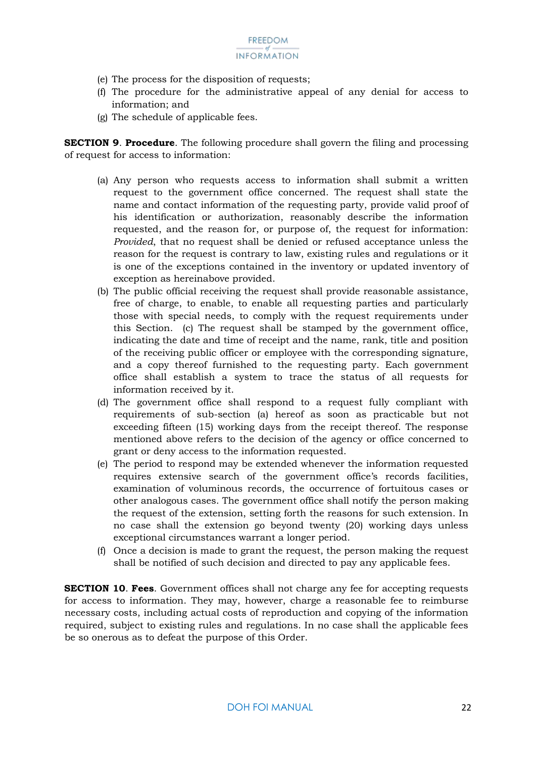- (e) The process for the disposition of requests;
- (f) The procedure for the administrative appeal of any denial for access to information; and
- (g) The schedule of applicable fees.

**SECTION 9**. **Procedure**. The following procedure shall govern the filing and processing of request for access to information:

- (a) Any person who requests access to information shall submit a written request to the government office concerned. The request shall state the name and contact information of the requesting party, provide valid proof of his identification or authorization, reasonably describe the information requested, and the reason for, or purpose of, the request for information: *Provided*, that no request shall be denied or refused acceptance unless the reason for the request is contrary to law, existing rules and regulations or it is one of the exceptions contained in the inventory or updated inventory of exception as hereinabove provided.
- (b) The public official receiving the request shall provide reasonable assistance, free of charge, to enable, to enable all requesting parties and particularly those with special needs, to comply with the request requirements under this Section. (c) The request shall be stamped by the government office, indicating the date and time of receipt and the name, rank, title and position of the receiving public officer or employee with the corresponding signature, and a copy thereof furnished to the requesting party. Each government office shall establish a system to trace the status of all requests for information received by it.
- (d) The government office shall respond to a request fully compliant with requirements of sub-section (a) hereof as soon as practicable but not exceeding fifteen (15) working days from the receipt thereof. The response mentioned above refers to the decision of the agency or office concerned to grant or deny access to the information requested.
- (e) The period to respond may be extended whenever the information requested requires extensive search of the government office's records facilities, examination of voluminous records, the occurrence of fortuitous cases or other analogous cases. The government office shall notify the person making the request of the extension, setting forth the reasons for such extension. In no case shall the extension go beyond twenty (20) working days unless exceptional circumstances warrant a longer period.
- (f) Once a decision is made to grant the request, the person making the request shall be notified of such decision and directed to pay any applicable fees.

**SECTION 10**. **Fees**. Government offices shall not charge any fee for accepting requests for access to information. They may, however, charge a reasonable fee to reimburse necessary costs, including actual costs of reproduction and copying of the information required, subject to existing rules and regulations. In no case shall the applicable fees be so onerous as to defeat the purpose of this Order.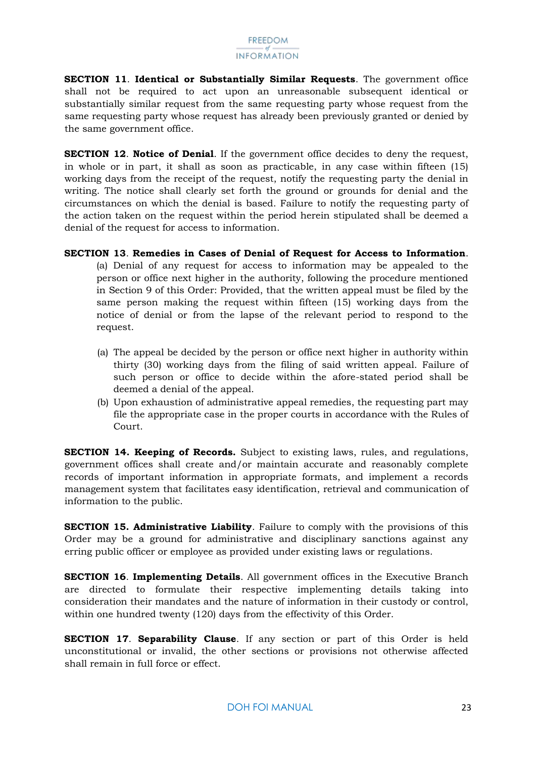**SECTION 11**. **Identical or Substantially Similar Requests**. The government office shall not be required to act upon an unreasonable subsequent identical or substantially similar request from the same requesting party whose request from the same requesting party whose request has already been previously granted or denied by the same government office.

**SECTION 12**. **Notice of Denial**. If the government office decides to deny the request, in whole or in part, it shall as soon as practicable, in any case within fifteen (15) working days from the receipt of the request, notify the requesting party the denial in writing. The notice shall clearly set forth the ground or grounds for denial and the circumstances on which the denial is based. Failure to notify the requesting party of the action taken on the request within the period herein stipulated shall be deemed a denial of the request for access to information.

- **SECTION 13**. **Remedies in Cases of Denial of Request for Access to Information**. (a) Denial of any request for access to information may be appealed to the person or office next higher in the authority, following the procedure mentioned in Section 9 of this Order: Provided, that the written appeal must be filed by the same person making the request within fifteen (15) working days from the notice of denial or from the lapse of the relevant period to respond to the request.
	- (a) The appeal be decided by the person or office next higher in authority within thirty (30) working days from the filing of said written appeal. Failure of such person or office to decide within the afore-stated period shall be deemed a denial of the appeal.
	- (b) Upon exhaustion of administrative appeal remedies, the requesting part may file the appropriate case in the proper courts in accordance with the Rules of Court.

**SECTION 14. Keeping of Records.** Subject to existing laws, rules, and regulations, government offices shall create and/or maintain accurate and reasonably complete records of important information in appropriate formats, and implement a records management system that facilitates easy identification, retrieval and communication of information to the public.

**SECTION 15. Administrative Liability**. Failure to comply with the provisions of this Order may be a ground for administrative and disciplinary sanctions against any erring public officer or employee as provided under existing laws or regulations.

**SECTION 16**. **Implementing Details**. All government offices in the Executive Branch are directed to formulate their respective implementing details taking into consideration their mandates and the nature of information in their custody or control, within one hundred twenty (120) days from the effectivity of this Order.

**SECTION 17**. **Separability Clause**. If any section or part of this Order is held unconstitutional or invalid, the other sections or provisions not otherwise affected shall remain in full force or effect.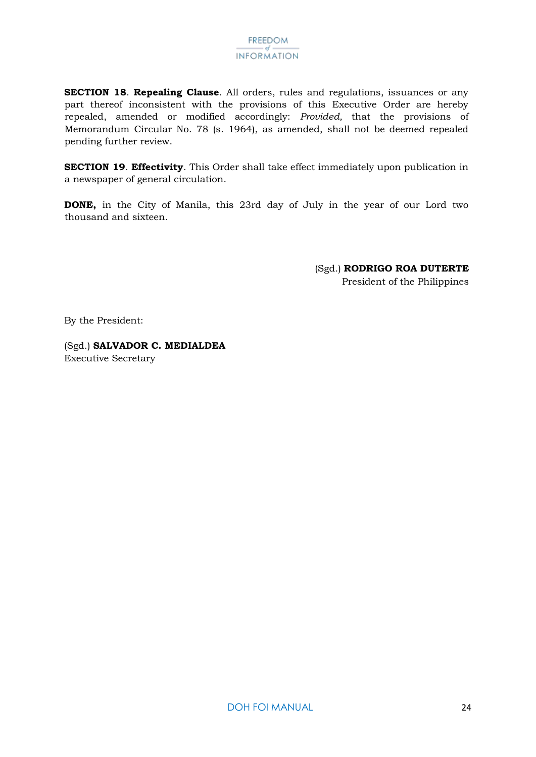**SECTION 18**. **Repealing Clause**. All orders, rules and regulations, issuances or any part thereof inconsistent with the provisions of this Executive Order are hereby repealed, amended or modified accordingly: *Provided,* that the provisions of Memorandum Circular No. 78 (s. 1964), as amended, shall not be deemed repealed pending further review.

**SECTION 19**. **Effectivity**. This Order shall take effect immediately upon publication in a newspaper of general circulation.

**DONE,** in the City of Manila, this 23rd day of July in the year of our Lord two thousand and sixteen.

> (Sgd.) **RODRIGO ROA DUTERTE**  President of the Philippines

By the President:

(Sgd.) **SALVADOR C. MEDIALDEA**  Executive Secretary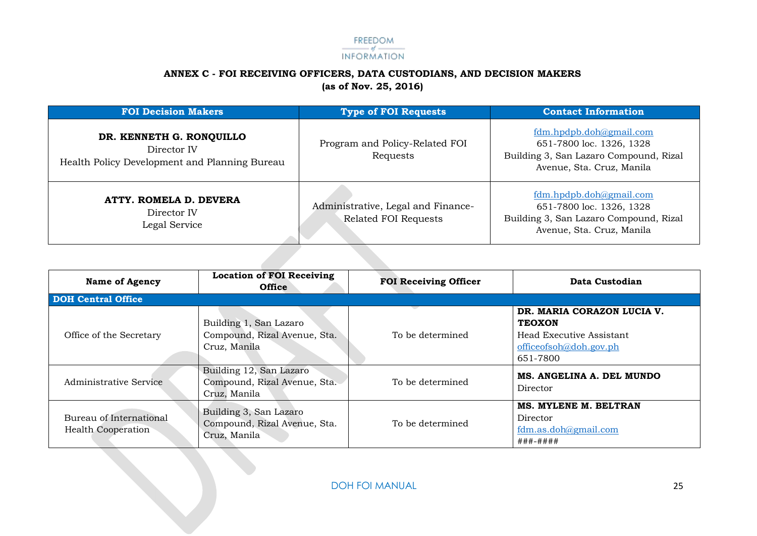#### FREEDOM INFORMATION

#### **ANNEX C - FOI RECEIVING OFFICERS, DATA CUSTODIANS, AND DECISION MAKERS (as of Nov. 25, 2016)**

| <b>FOI Decision Makers</b>                                                               | <b>Type of FOI Requests</b>                                | <b>Contact Information</b>                                                                                                 |
|------------------------------------------------------------------------------------------|------------------------------------------------------------|----------------------------------------------------------------------------------------------------------------------------|
| DR. KENNETH G. RONQUILLO<br>Director IV<br>Health Policy Development and Planning Bureau | Program and Policy-Related FOI<br>Requests                 | fdm.hpdpb.doh@gmail.com<br>651-7800 loc. 1326, 1328<br>Building 3, San Lazaro Compound, Rizal<br>Avenue, Sta. Cruz, Manila |
| ATTY. ROMELA D. DEVERA<br>Director IV<br>Legal Service                                   | Administrative, Legal and Finance-<br>Related FOI Requests | fdm.hpdpb.doh@gmail.com<br>651-7800 loc. 1326, 1328<br>Building 3, San Lazaro Compound, Rizal<br>Avenue, Sta. Cruz, Manila |

<span id="page-25-0"></span>

| <b>Name of Agency</b>                                | <b>Location of FOI Receiving</b><br><b>Office</b>                       | <b>FOI Receiving Officer</b> | Data Custodian                                                                                                |
|------------------------------------------------------|-------------------------------------------------------------------------|------------------------------|---------------------------------------------------------------------------------------------------------------|
| <b>DOH Central Office</b>                            |                                                                         |                              |                                                                                                               |
| Office of the Secretary                              | Building 1, San Lazaro<br>Compound, Rizal Avenue, Sta.<br>Cruz, Manila  | To be determined             | DR. MARIA CORAZON LUCIA V.<br><b>TEOXON</b><br>Head Executive Assistant<br>officeofsoh@doh.gov.ph<br>651-7800 |
| Administrative Service                               | Building 12, San Lazaro<br>Compound, Rizal Avenue, Sta.<br>Cruz, Manila | To be determined             | MS. ANGELINA A. DEL MUNDO<br>Director                                                                         |
| Bureau of International<br><b>Health Cooperation</b> | Building 3, San Lazaro<br>Compound, Rizal Avenue, Sta.<br>Cruz, Manila  | To be determined             | <b>MS. MYLENE M. BELTRAN</b><br>Director<br>$fdm.$ as.doh@gmail.com<br>###-####                               |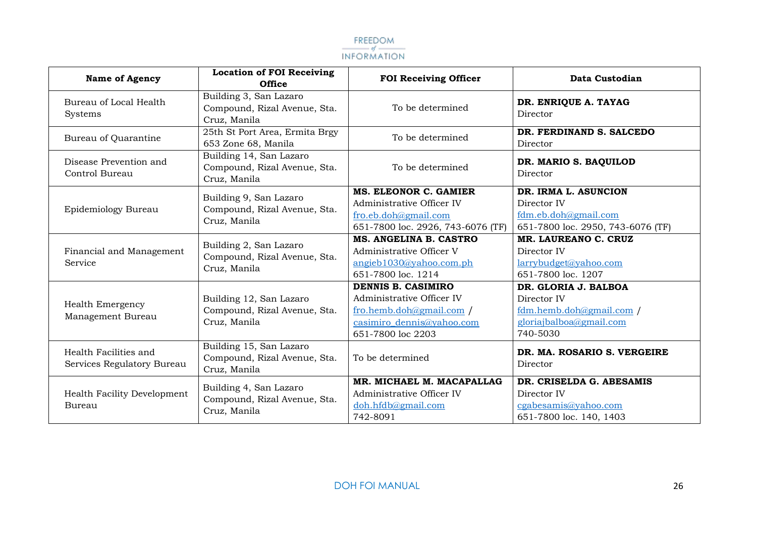

| <b>Name of Agency</b>                               | <b>Location of FOI Receiving</b><br><b>Office</b>                       | <b>FOI Receiving Officer</b>                                                                                                  | Data Custodian                                                                                       |
|-----------------------------------------------------|-------------------------------------------------------------------------|-------------------------------------------------------------------------------------------------------------------------------|------------------------------------------------------------------------------------------------------|
| Bureau of Local Health<br>Systems                   | Building 3, San Lazaro<br>Compound, Rizal Avenue, Sta.<br>Cruz, Manila  | To be determined                                                                                                              | DR. ENRIQUE A. TAYAG<br>Director                                                                     |
| Bureau of Quarantine                                | 25th St Port Area, Ermita Brgy<br>653 Zone 68, Manila                   | To be determined                                                                                                              | DR. FERDINAND S. SALCEDO<br>Director                                                                 |
| Disease Prevention and<br>Control Bureau            | Building 14, San Lazaro<br>Compound, Rizal Avenue, Sta.<br>Cruz, Manila | To be determined                                                                                                              | DR. MARIO S. BAQUILOD<br>Director                                                                    |
| Epidemiology Bureau                                 | Building 9, San Lazaro<br>Compound, Rizal Avenue, Sta.<br>Cruz, Manila  | MS. ELEONOR C. GAMIER<br>Administrative Officer IV<br>fro.eb.doh@gmail.com<br>651-7800 loc. 2926, 743-6076 (TF)               | DR. IRMA L. ASUNCION<br>Director IV<br>fdm.eb.doh@gmail.com<br>651-7800 loc. 2950, 743-6076 (TF)     |
| Financial and Management<br>Service                 | Building 2, San Lazaro<br>Compound, Rizal Avenue, Sta.<br>Cruz, Manila  | MS. ANGELINA B. CASTRO<br>Administrative Officer V<br>angieb1030@yahoo.com.ph<br>651-7800 loc. 1214                           | MR. LAUREANO C. CRUZ<br>Director IV<br>larrybudget@yahoo.com<br>651-7800 loc. 1207                   |
| Health Emergency<br>Management Bureau               | Building 12, San Lazaro<br>Compound, Rizal Avenue, Sta.<br>Cruz, Manila | DENNIS B. CASIMIRO<br>Administrative Officer IV<br>fro.hemb.doh@gmail.com /<br>casimiro dennis@yahoo.com<br>651-7800 loc 2203 | DR. GLORIA J. BALBOA<br>Director IV<br>fdm.hemb.doh@gmail.com<br>gloriajbalboa@gmail.com<br>740-5030 |
| Health Facilities and<br>Services Regulatory Bureau | Building 15, San Lazaro<br>Compound, Rizal Avenue, Sta.<br>Cruz, Manila | To be determined                                                                                                              | DR. MA. ROSARIO S. VERGEIRE<br>Director                                                              |
| Health Facility Development<br>Bureau               | Building 4, San Lazaro<br>Compound, Rizal Avenue, Sta.<br>Cruz, Manila  | MR. MICHAEL M. MACAPALLAG<br>Administrative Officer IV<br>doh.hfdb@gmail.com<br>742-8091                                      | DR. CRISELDA G. ABESAMIS<br>Director IV<br>cgabesamis@yahoo.com<br>651-7800 loc. 140, 1403           |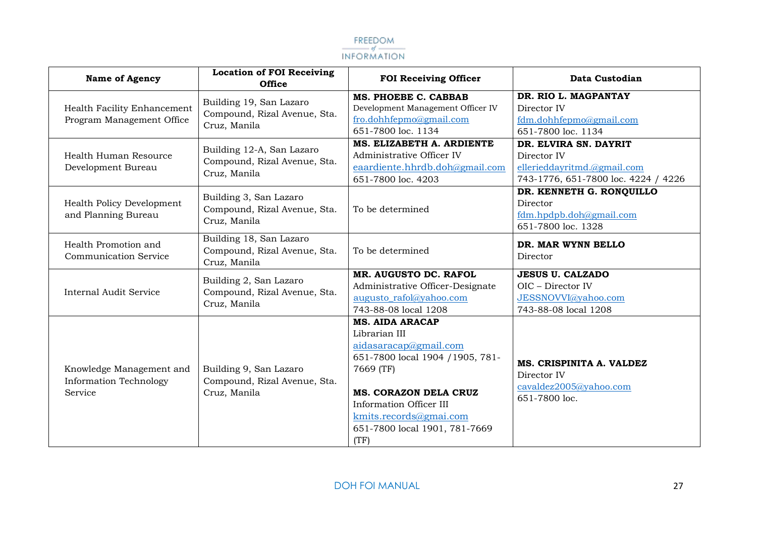

| <b>Name of Agency</b>                                                | <b>Location of FOI Receiving</b><br><b>Office</b>                         | <b>FOI Receiving Officer</b>                                                                                                                                                                                                             | Data Custodian                                                                                             |
|----------------------------------------------------------------------|---------------------------------------------------------------------------|------------------------------------------------------------------------------------------------------------------------------------------------------------------------------------------------------------------------------------------|------------------------------------------------------------------------------------------------------------|
| Health Facility Enhancement<br>Program Management Office             | Building 19, San Lazaro<br>Compound, Rizal Avenue, Sta.<br>Cruz, Manila   | MS. PHOEBE C. CABBAB<br>Development Management Officer IV<br>fro.dohhfepmo@gmail.com<br>651-7800 loc. 1134                                                                                                                               | DR. RIO L. MAGPANTAY<br>Director IV<br>fdm.dohhfepmo@gmail.com<br>651-7800 loc. 1134                       |
| Health Human Resource<br>Development Bureau                          | Building 12-A, San Lazaro<br>Compound, Rizal Avenue, Sta.<br>Cruz, Manila | MS. ELIZABETH A. ARDIENTE<br>Administrative Officer IV<br>eaardiente.hhrdb.doh@gmail.com<br>651-7800 loc. 4203                                                                                                                           | DR. ELVIRA SN. DAYRIT<br>Director IV<br>ellerieddayritmd.@gmail.com<br>743-1776, 651-7800 loc. 4224 / 4226 |
| Health Policy Development<br>and Planning Bureau                     | Building 3, San Lazaro<br>Compound, Rizal Avenue, Sta.<br>Cruz, Manila    | To be determined                                                                                                                                                                                                                         | DR. KENNETH G. RONQUILLO<br>Director<br>fdm.hpdpb.doh@gmail.com<br>651-7800 loc. 1328                      |
| Health Promotion and<br><b>Communication Service</b>                 | Building 18, San Lazaro<br>Compound, Rizal Avenue, Sta.<br>Cruz, Manila   | To be determined                                                                                                                                                                                                                         | DR. MAR WYNN BELLO<br>Director                                                                             |
| <b>Internal Audit Service</b>                                        | Building 2, San Lazaro<br>Compound, Rizal Avenue, Sta.<br>Cruz, Manila    | MR. AUGUSTO DC. RAFOL<br>Administrative Officer-Designate<br>augusto rafol@yahoo.com<br>743-88-08 local 1208                                                                                                                             | <b>JESUS U. CALZADO</b><br>OIC - Director IV<br>JESSNOVVI@yahoo.com<br>743-88-08 local 1208                |
| Knowledge Management and<br><b>Information Technology</b><br>Service | Building 9, San Lazaro<br>Compound, Rizal Avenue, Sta.<br>Cruz, Manila    | <b>MS. AIDA ARACAP</b><br>Librarian III<br>aidasaracap@gmail.com<br>651-7800 local 1904 / 1905, 781-<br>7669 (TF)<br>MS. CORAZON DELA CRUZ<br>Information Officer III<br>kmits.records@gmai.com<br>651-7800 local 1901, 781-7669<br>(TF) | MS. CRISPINITA A. VALDEZ<br>Director IV<br>cavaldez2005@yahoo.com<br>651-7800 loc.                         |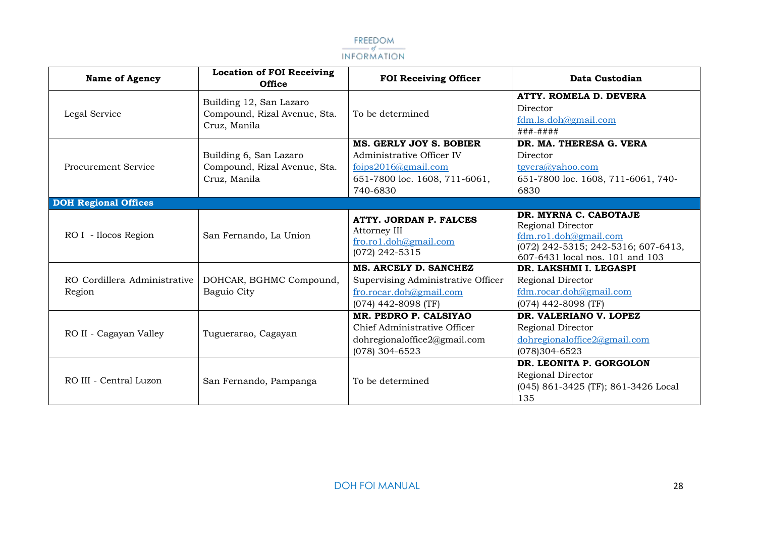

| <b>Name of Agency</b>                  | <b>Location of FOI Receiving</b><br><b>Office</b>                       | <b>FOI Receiving Officer</b>                                                                                                    | Data Custodian                                                                                                                                |
|----------------------------------------|-------------------------------------------------------------------------|---------------------------------------------------------------------------------------------------------------------------------|-----------------------------------------------------------------------------------------------------------------------------------------------|
| Legal Service                          | Building 12, San Lazaro<br>Compound, Rizal Avenue, Sta.<br>Cruz, Manila | To be determined                                                                                                                | ATTY. ROMELA D. DEVERA<br>Director<br>fdm.ls.doh@gmail.com<br>###-####                                                                        |
| <b>Procurement Service</b>             | Building 6, San Lazaro<br>Compound, Rizal Avenue, Sta.<br>Cruz, Manila  | <b>MS. GERLY JOY S. BOBIER</b><br>Administrative Officer IV<br>foips2016@gmail.com<br>651-7800 loc. 1608, 711-6061,<br>740-6830 | DR. MA. THERESA G. VERA<br>Director<br>tgvera@yahoo.com<br>651-7800 loc. 1608, 711-6061, 740-<br>6830                                         |
| <b>DOH Regional Offices</b>            |                                                                         |                                                                                                                                 |                                                                                                                                               |
| RO I - Ilocos Region                   | San Fernando, La Union                                                  | ATTY. JORDAN P. FALCES<br>Attorney III<br>fro.ro1.doh@gmail.com<br>(072) 242-5315                                               | DR. MYRNA C. CABOTAJE<br>Regional Director<br>fdm.ro1.doh@gmail.com<br>(072) 242-5315; 242-5316; 607-6413,<br>607-6431 local nos. 101 and 103 |
| RO Cordillera Administrative<br>Region | DOHCAR, BGHMC Compound,<br>Baguio City                                  | MS. ARCELY D. SANCHEZ<br>Supervising Administrative Officer<br>fro.rocar.doh@gmail.com<br>$(074)$ 442-8098 (TF)                 | DR. LAKSHMI I. LEGASPI<br>Regional Director<br>fdm.rocar.doh@gmail.com<br>$(074)$ 442-8098 (TF)                                               |
| RO II - Cagayan Valley                 | Tuguerarao, Cagayan                                                     | MR. PEDRO P. CALSIYAO<br>Chief Administrative Officer<br>dohregionaloffice2@gmail.com<br>$(078)$ 304-6523                       | DR. VALERIANO V. LOPEZ<br>Regional Director<br>dohregionaloffice2@gmail.com<br>$(078)304 - 6523$                                              |
| RO III - Central Luzon                 | San Fernando, Pampanga                                                  | To be determined                                                                                                                | DR. LEONITA P. GORGOLON<br>Regional Director<br>(045) 861-3425 (TF); 861-3426 Local<br>135                                                    |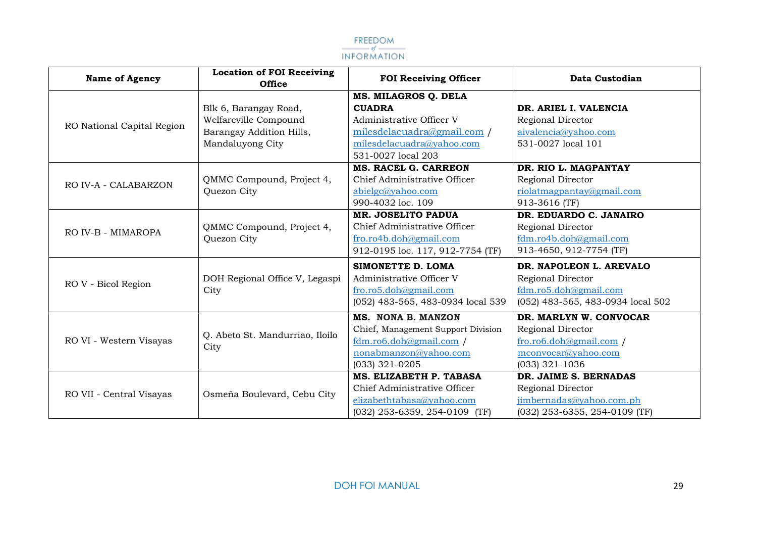

| <b>Name of Agency</b>      | <b>Location of FOI Receiving</b><br><b>Office</b> | <b>FOI Receiving Officer</b>       | Data Custodian                    |
|----------------------------|---------------------------------------------------|------------------------------------|-----------------------------------|
|                            |                                                   | MS. MILAGROS Q. DELA               |                                   |
|                            | Blk 6, Barangay Road,                             | <b>CUADRA</b>                      | DR. ARIEL I. VALENCIA             |
|                            | Welfareville Compound                             | Administrative Officer V           | Regional Director                 |
| RO National Capital Region | Barangay Addition Hills,                          | milesdelacuadra@gmail.com /        | aivalencia@yahoo.com              |
|                            | Mandaluyong City                                  | milesdelacuadra@yahoo.com          | 531-0027 local 101                |
|                            |                                                   | 531-0027 local 203                 |                                   |
|                            |                                                   | <b>MS. RACEL G. CARREON</b>        | DR. RIO L. MAGPANTAY              |
| RO IV-A - CALABARZON       | QMMC Compound, Project 4,                         | Chief Administrative Officer       | Regional Director                 |
|                            | Quezon City                                       | abielgc@yahoo.com                  | riolatmagpantay@gmail.com         |
|                            |                                                   | 990-4032 loc. 109                  | 913-3616 (TF)                     |
|                            |                                                   | MR. JOSELITO PADUA                 | DR. EDUARDO C. JANAIRO            |
| RO IV-B - MIMAROPA         | QMMC Compound, Project 4,<br>Quezon City          | Chief Administrative Officer       | Regional Director                 |
|                            |                                                   | fro.ro4b.doh@gmail.com             | fdm.ro4b.doh@gmail.com            |
|                            |                                                   | 912-0195 loc. 117, 912-7754 (TF)   | 913-4650, 912-7754 (TF)           |
|                            |                                                   | SIMONETTE D. LOMA                  | DR. NAPOLEON L. AREVALO           |
|                            | DOH Regional Office V, Legaspi<br>City            | Administrative Officer V           | Regional Director                 |
| RO V - Bicol Region        |                                                   | fro.ro5.doh@gmail.com              | fdm.ro5.doh@gmail.com             |
|                            |                                                   | (052) 483-565, 483-0934 local 539  | (052) 483-565, 483-0934 local 502 |
|                            |                                                   | <b>MS. NONA B. MANZON</b>          | DR. MARLYN W. CONVOCAR            |
|                            | Q. Abeto St. Mandurriao, Iloilo                   | Chief, Management Support Division | Regional Director                 |
| RO VI - Western Visayas    | City                                              | $fdm.$ ro $6.doh$ @gmail.com /     | fro.ro6.doh@gmail.com             |
|                            |                                                   | nonabmanzon@yahoo.com              | mconvocar@yahoo.com               |
|                            |                                                   | $(033)$ 321-0205                   | (033) 321-1036                    |
|                            |                                                   | MS. ELIZABETH P. TABASA            | DR. JAIME S. BERNADAS             |
| RO VII - Central Visayas   | Osmeña Boulevard, Cebu City                       | Chief Administrative Officer       | Regional Director                 |
|                            |                                                   | elizabethtabasa@yahoo.com          | jimbernadas@yahoo.com.ph          |
|                            |                                                   | $(032)$ 253-6359, 254-0109 (TF)    | (032) 253-6355, 254-0109 (TF)     |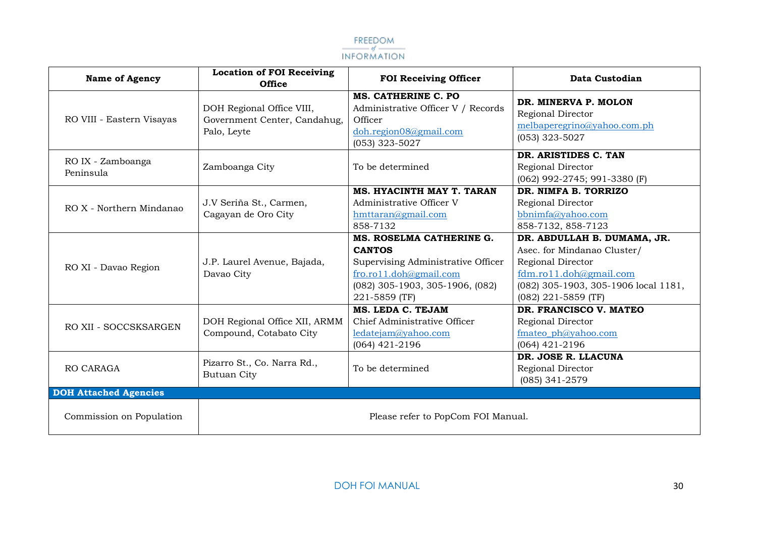

| <b>Name of Agency</b>          | <b>Location of FOI Receiving</b><br><b>Office</b>                        | <b>FOI Receiving Officer</b>                                                                                                                                  | Data Custodian                                                                                                                                                             |
|--------------------------------|--------------------------------------------------------------------------|---------------------------------------------------------------------------------------------------------------------------------------------------------------|----------------------------------------------------------------------------------------------------------------------------------------------------------------------------|
| RO VIII - Eastern Visayas      | DOH Regional Office VIII,<br>Government Center, Candahug,<br>Palo, Leyte | MS. CATHERINE C. PO<br>Administrative Officer V / Records<br>Officer<br>doh.region08@gmail.com<br>$(053)$ 323-5027                                            | DR. MINERVA P. MOLON<br>Regional Director<br>melbaperegrino@yahoo.com.ph<br>$(053)$ 323-5027                                                                               |
| RO IX - Zamboanga<br>Peninsula | Zamboanga City                                                           | To be determined                                                                                                                                              | DR. ARISTIDES C. TAN<br>Regional Director<br>(062) 992-2745; 991-3380 (F)                                                                                                  |
| RO X - Northern Mindanao       | J.V Seriña St., Carmen,<br>Cagayan de Oro City                           | MS. HYACINTH MAY T. TARAN<br>Administrative Officer V<br>hmttaran@gmail.com<br>858-7132                                                                       | DR. NIMFA B. TORRIZO<br>Regional Director<br>bbnimfa@yahoo.com<br>858-7132, 858-7123                                                                                       |
| RO XI - Davao Region           | J.P. Laurel Avenue, Bajada,<br>Davao City                                | MS. ROSELMA CATHERINE G.<br><b>CANTOS</b><br>Supervising Administrative Officer<br>fro.rol1.doh@gmail.com<br>(082) 305-1903, 305-1906, (082)<br>221-5859 (TF) | DR. ABDULLAH B. DUMAMA, JR.<br>Asec. for Mindanao Cluster/<br>Regional Director<br>fdm.ro11.doh@gmail.com<br>(082) 305-1903, 305-1906 local 1181,<br>$(082)$ 221-5859 (TF) |
| RO XII - SOCCSKSARGEN          | DOH Regional Office XII, ARMM<br>Compound, Cotabato City                 | MS. LEDA C. TEJAM<br>Chief Administrative Officer<br>ledatejam@yahoo.com<br>$(064)$ 421-2196                                                                  | DR. FRANCISCO V. MATEO<br>Regional Director<br>fmateo ph@yahoo.com<br>$(064)$ 421-2196                                                                                     |
| RO CARAGA                      | Pizarro St., Co. Narra Rd.,<br><b>Butuan City</b>                        | To be determined                                                                                                                                              | DR. JOSE R. LLACUNA<br>Regional Director<br>(085) 341-2579                                                                                                                 |
| <b>DOH Attached Agencies</b>   |                                                                          |                                                                                                                                                               |                                                                                                                                                                            |
| Commission on Population       |                                                                          | Please refer to PopCom FOI Manual.                                                                                                                            |                                                                                                                                                                            |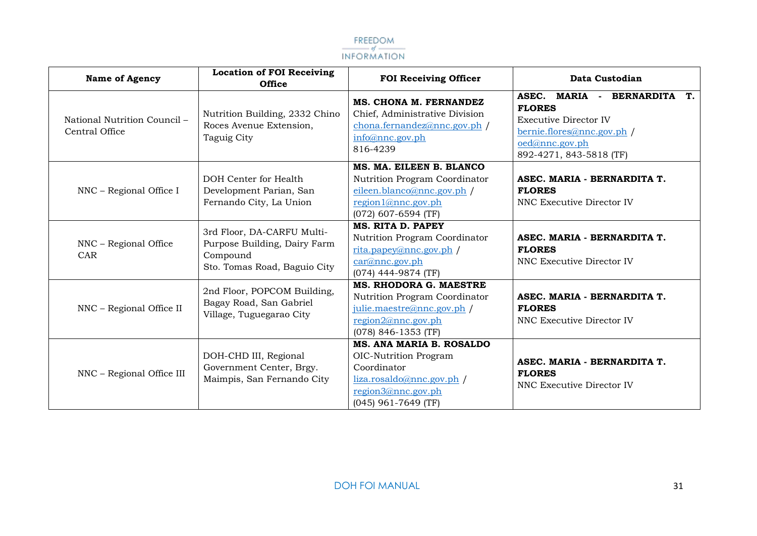

| <b>Name of Agency</b>                          | <b>Location of FOI Receiving</b><br><b>Office</b>                                                      | <b>FOI Receiving Officer</b>                                                                                                                 | Data Custodian                                                                                                                                              |
|------------------------------------------------|--------------------------------------------------------------------------------------------------------|----------------------------------------------------------------------------------------------------------------------------------------------|-------------------------------------------------------------------------------------------------------------------------------------------------------------|
| National Nutrition Council -<br>Central Office | Nutrition Building, 2332 Chino<br>Roces Avenue Extension,<br>Taguig City                               | MS. CHONA M. FERNANDEZ<br>Chief, Administrative Division<br>chona.fernandez@nnc.gov.ph /<br>info@nnc.gov.ph<br>816-4239                      | MARIA - BERNARDITA<br>ASEC.<br>T.<br><b>FLORES</b><br><b>Executive Director IV</b><br>bernie.flores@nnc.gov.ph<br>oed@nnc.gov.ph<br>892-4271, 843-5818 (TF) |
| NNC - Regional Office I                        | DOH Center for Health<br>Development Parian, San<br>Fernando City, La Union                            | MS. MA. EILEEN B. BLANCO<br>Nutrition Program Coordinator<br>eileen.blanco@nnc.gov.ph /<br>region1@nnc.gov.ph<br>$(072)$ 607-6594 (TF)       | ASEC. MARIA - BERNARDITA T.<br><b>FLORES</b><br>NNC Executive Director IV                                                                                   |
| NNC - Regional Office<br>CAR                   | 3rd Floor, DA-CARFU Multi-<br>Purpose Building, Dairy Farm<br>Compound<br>Sto. Tomas Road, Baguio City | <b>MS. RITA D. PAPEY</b><br>Nutrition Program Coordinator<br>rita.papey@nnc.gov.ph<br>car@nnc.gov.ph<br>(074) 444-9874 (TF)                  | ASEC. MARIA - BERNARDITA T.<br><b>FLORES</b><br>NNC Executive Director IV                                                                                   |
| NNC - Regional Office II                       | 2nd Floor, POPCOM Building,<br>Bagay Road, San Gabriel<br>Village, Tuguegarao City                     | MS. RHODORA G. MAESTRE<br>Nutrition Program Coordinator<br>julie.maestre@nnc.gov.ph /<br>region2@nnc.gov.ph<br>(078) 846-1353 (TF)           | ASEC. MARIA - BERNARDITA T.<br><b>FLORES</b><br>NNC Executive Director IV                                                                                   |
| NNC - Regional Office III                      | DOH-CHD III, Regional<br>Government Center, Brgy.<br>Maimpis, San Fernando City                        | MS. ANA MARIA B. ROSALDO<br>OIC-Nutrition Program<br>Coordinator<br>liza.rosaldo@nnc.gov.ph /<br>region3@nnc.gov.ph<br>$(045)$ 961-7649 (TF) | ASEC. MARIA - BERNARDITA T.<br><b>FLORES</b><br>NNC Executive Director IV                                                                                   |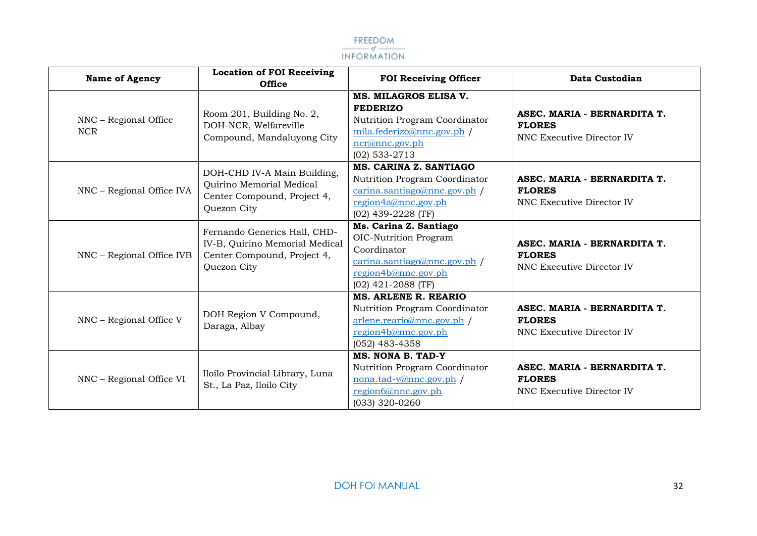

| <b>Name of Agency</b>               | <b>Location of FOI Receiving</b><br><b>Office</b>                                                            | <b>FOI Receiving Officer</b>                                                                                                                | Data Custodian                                                                   |
|-------------------------------------|--------------------------------------------------------------------------------------------------------------|---------------------------------------------------------------------------------------------------------------------------------------------|----------------------------------------------------------------------------------|
| NNC - Regional Office<br><b>NCR</b> | Room 201, Building No. 2,<br>DOH-NCR, Welfareville<br>Compound, Mandaluyong City                             | MS. MILAGROS ELISA V.<br><b>FEDERIZO</b><br>Nutrition Program Coordinator<br>mila.federizo@nnc.gov.php<br>ncr@nnc.gov.ph<br>$(02)$ 533-2713 | ASEC. MARIA - BERNARDITA T.<br><b>FLORES</b><br>NNC Executive Director IV        |
| NNC - Regional Office IVA           | DOH-CHD IV-A Main Building,<br>Quirino Memorial Medical<br>Center Compound, Project 4,<br>Quezon City        | MS. CARINA Z. SANTIAGO<br>Nutrition Program Coordinator<br>carina.santiago@nnc.gov.ph<br>region4a@nnc.gov.ph<br>(02) 439-2228 (TF)          | ASEC. MARIA - BERNARDITA T.<br><b>FLORES</b><br>NNC Executive Director IV        |
| NNC - Regional Office IVB           | Fernando Generics Hall, CHD-<br>IV-B, Quirino Memorial Medical<br>Center Compound, Project 4,<br>Quezon City | Ms. Carina Z. Santiago<br>OIC-Nutrition Program<br>Coordinator<br>carina.santiago@nnc.gov.ph<br>region4b@nnc.gov.ph<br>$(02)$ 421-2088 (TF) | ASEC. MARIA - BERNARDITA T.<br><b>FLORES</b><br>NNC Executive Director IV        |
| NNC - Regional Office V             | DOH Region V Compound,<br>Daraga, Albay                                                                      | MS. ARLENE R. REARIO<br>Nutrition Program Coordinator<br>arlene.reario@nnc.gov.ph /<br>region4b@nnc.gov.ph<br>$(052)$ 483-4358              | ASEC. MARIA - BERNARDITA T.<br><b>FLORES</b><br><b>NNC Executive Director IV</b> |
| NNC - Regional Office VI            | Iloilo Provincial Library, Luna<br>St., La Paz, Iloilo City                                                  | MS. NONA B. TAD-Y<br>Nutrition Program Coordinator<br>nona.tad-y@nnc.gov.ph /<br>region6@nnc.gov.ph<br>(033) 320-0260                       | ASEC. MARIA - BERNARDITA T.<br><b>FLORES</b><br><b>NNC Executive Director IV</b> |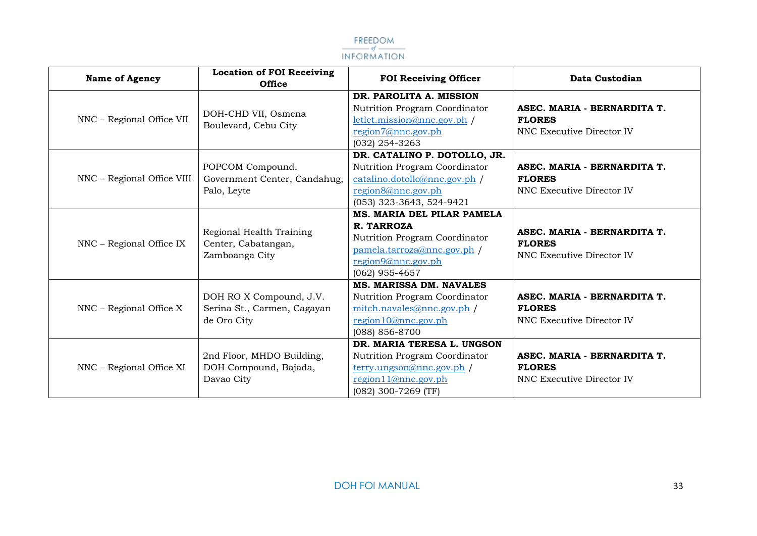

| <b>Name of Agency</b>      | <b>Location of FOI Receiving</b><br><b>Office</b>                     | <b>FOI Receiving Officer</b>                                                                                                                       | Data Custodian                                                            |
|----------------------------|-----------------------------------------------------------------------|----------------------------------------------------------------------------------------------------------------------------------------------------|---------------------------------------------------------------------------|
| NNC - Regional Office VII  | DOH-CHD VII, Osmena<br>Boulevard, Cebu City                           | DR. PAROLITA A. MISSION<br>Nutrition Program Coordinator<br>letlet.mission@nnc.gov.ph<br>region7@nnc.gov.ph<br>$(032)$ 254-3263                    | ASEC. MARIA - BERNARDITA T.<br><b>FLORES</b><br>NNC Executive Director IV |
| NNC - Regional Office VIII | POPCOM Compound,<br>Government Center, Candahug,<br>Palo, Leyte       | DR. CATALINO P. DOTOLLO, JR.<br>Nutrition Program Coordinator<br>catalino.dotollo@nnc.gov.ph /<br>region8@nnc.gov.ph<br>(053) 323-3643, 524-9421   | ASEC. MARIA - BERNARDITA T.<br><b>FLORES</b><br>NNC Executive Director IV |
| NNC - Regional Office IX   | Regional Health Training<br>Center, Cabatangan,<br>Zamboanga City     | MS. MARIA DEL PILAR PAMELA<br>R. TARROZA<br>Nutrition Program Coordinator<br>pamela.tarroza@nnc.gov.ph /<br>region9@nnc.gov.ph<br>$(062)$ 955-4657 | ASEC. MARIA - BERNARDITA T.<br><b>FLORES</b><br>NNC Executive Director IV |
| $NNC$ – Regional Office X  | DOH RO X Compound, J.V.<br>Serina St., Carmen, Cagayan<br>de Oro City | MS. MARISSA DM. NAVALES<br>Nutrition Program Coordinator<br>mitch.navales@nnc.gov.ph /<br>region10@nnc.gov.ph<br>(088) 856-8700                    | ASEC. MARIA - BERNARDITA T.<br><b>FLORES</b><br>NNC Executive Director IV |
| NNC - Regional Office XI   | 2nd Floor, MHDO Building,<br>DOH Compound, Bajada,<br>Davao City      | DR. MARIA TERESA L. UNGSON<br>Nutrition Program Coordinator<br>$terry.ungson@nnc.gov.php /$<br>region $11@nnc.gov.ph$<br>(082) 300-7269 (TF)       | ASEC. MARIA - BERNARDITA T.<br><b>FLORES</b><br>NNC Executive Director IV |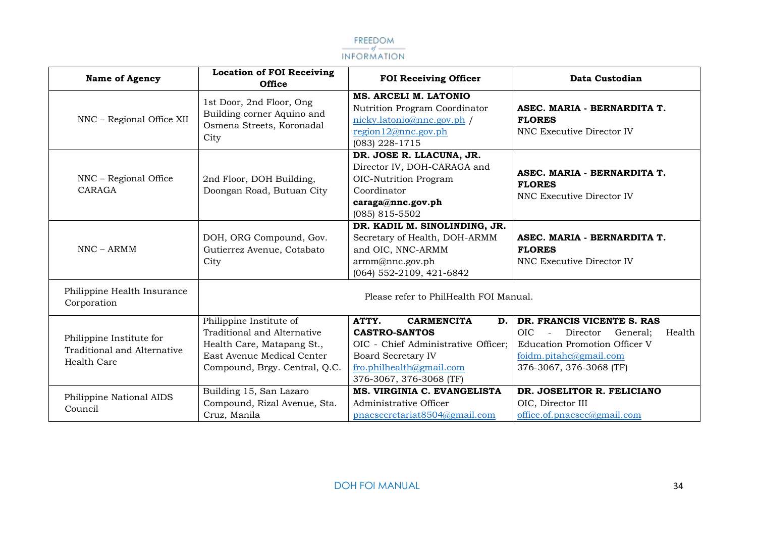

| <b>Name of Agency</b>                                                  | <b>Location of FOI Receiving</b><br><b>Office</b>                                                                                                   | <b>FOI Receiving Officer</b>                                                                                                                                                        | Data Custodian                                                                                                                                                                      |
|------------------------------------------------------------------------|-----------------------------------------------------------------------------------------------------------------------------------------------------|-------------------------------------------------------------------------------------------------------------------------------------------------------------------------------------|-------------------------------------------------------------------------------------------------------------------------------------------------------------------------------------|
| NNC - Regional Office XII                                              | 1st Door, 2nd Floor, Ong<br>Building corner Aquino and<br>Osmena Streets, Koronadal<br>City                                                         | MS. ARCELI M. LATONIO<br>Nutrition Program Coordinator<br>nicky.latonio@nnc.gov.ph /<br>region12@nnc.gov.ph<br>$(083)$ 228-1715                                                     | ASEC. MARIA - BERNARDITA T.<br><b>FLORES</b><br>NNC Executive Director IV                                                                                                           |
| NNC - Regional Office<br>CARAGA                                        | 2nd Floor, DOH Building,<br>Doongan Road, Butuan City                                                                                               | DR. JOSE R. LLACUNA, JR.<br>Director IV, DOH-CARAGA and<br><b>OIC-Nutrition Program</b><br>Coordinator<br>caraga@nnc.gov.ph<br>$(085)$ 815-5502                                     | ASEC. MARIA - BERNARDITA T.<br><b>FLORES</b><br>NNC Executive Director IV                                                                                                           |
| $NNC - ARMM$                                                           | DOH, ORG Compound, Gov.<br>Gutierrez Avenue, Cotabato<br>City                                                                                       | DR. KADIL M. SINOLINDING, JR.<br>Secretary of Health, DOH-ARMM<br>and OIC, NNC-ARMM<br>armm@nnc.gov.ph<br>(064) 552-2109, 421-6842                                                  | ASEC. MARIA - BERNARDITA T.<br><b>FLORES</b><br>NNC Executive Director IV                                                                                                           |
| Philippine Health Insurance<br>Corporation                             | Please refer to PhilHealth FOI Manual.                                                                                                              |                                                                                                                                                                                     |                                                                                                                                                                                     |
| Philippine Institute for<br>Traditional and Alternative<br>Health Care | Philippine Institute of<br>Traditional and Alternative<br>Health Care, Matapang St.,<br>East Avenue Medical Center<br>Compound, Brgy. Central, Q.C. | ATTY.<br><b>CARMENCITA</b><br>D.<br><b>CASTRO-SANTOS</b><br>OIC - Chief Administrative Officer;<br><b>Board Secretary IV</b><br>fro.philhealth@gmail.com<br>376-3067, 376-3068 (TF) | DR. FRANCIS VICENTE S. RAS<br><b>OIC</b><br>Director<br>General:<br>Health<br>$\equiv$<br><b>Education Promotion Officer V</b><br>foidm.pitahc@gmail.com<br>376-3067, 376-3068 (TF) |
| Philippine National AIDS<br>Council                                    | Building 15, San Lazaro<br>Compound, Rizal Avenue, Sta.<br>Cruz, Manila                                                                             | MS. VIRGINIA C. EVANGELISTA<br>Administrative Officer<br>pnacsecretariat8504@gmail.com                                                                                              | DR. JOSELITOR R. FELICIANO<br>OIC, Director III<br>office.of.pnacsec@gmail.com                                                                                                      |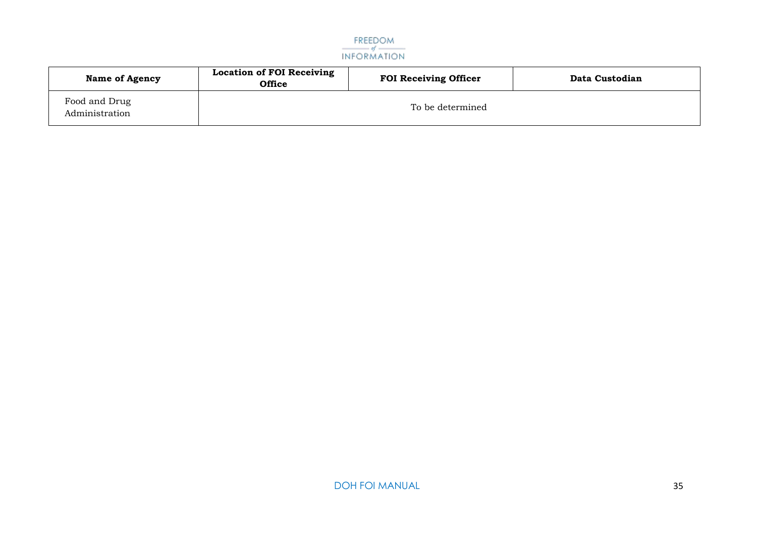

| <b>Name of Agency</b>           | <b>Location of FOI Receiving</b><br><b>Office</b> | <b>FOI Receiving Officer</b> | Data Custodian |
|---------------------------------|---------------------------------------------------|------------------------------|----------------|
| Food and Drug<br>Administration | To be determined                                  |                              |                |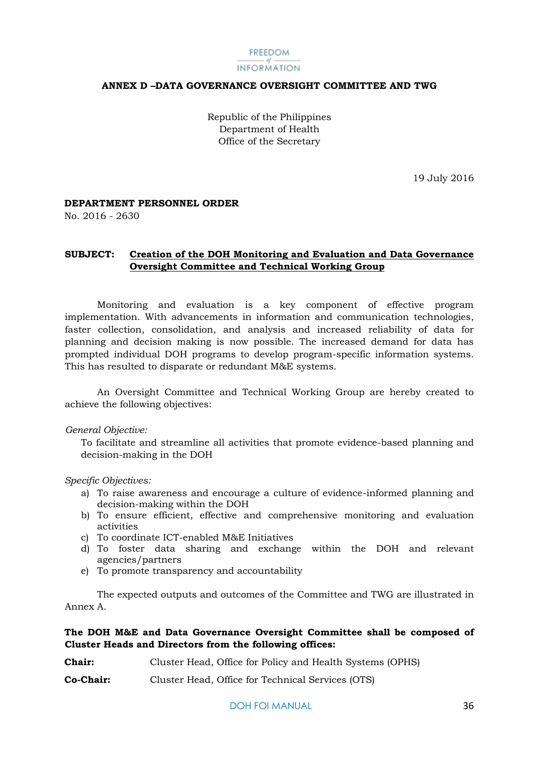#### FREEDOM INFORMATION

#### <span id="page-36-0"></span>**ANNEX D –DATA GOVERNANCE OVERSIGHT COMMITTEE AND TWG**

Republic of the Philippines Department of Health Office of the Secretary

19 July 2016

#### **DEPARTMENT PERSONNEL ORDER**

No. 2016 - 2630

#### **SUBJECT: Creation of the DOH Monitoring and Evaluation and Data Governance Oversight Committee and Technical Working Group**

Monitoring and evaluation is a key component of effective program implementation. With advancements in information and communication technologies, faster collection, consolidation, and analysis and increased reliability of data for planning and decision making is now possible. The increased demand for data has prompted individual DOH programs to develop program-specific information systems. This has resulted to disparate or redundant M&E systems.

An Oversight Committee and Technical Working Group are hereby created to achieve the following objectives:

#### *General Objective:*

To facilitate and streamline all activities that promote evidence-based planning and decision-making in the DOH

#### *Specific Objectives:*

- a) To raise awareness and encourage a culture of evidence-informed planning and decision-making within the DOH
- b) To ensure efficient, effective and comprehensive monitoring and evaluation activities
- c) To coordinate ICT-enabled M&E Initiatives
- d) To foster data sharing and exchange within the DOH and relevant agencies/partners
- e) To promote transparency and accountability

The expected outputs and outcomes of the Committee and TWG are illustrated in Annex A.

#### **The DOH M&E and Data Governance Oversight Committee shall be composed of Cluster Heads and Directors from the following offices:**

| <b>Chair:</b> | Cluster Head, Office for Policy and Health Systems (OPHS) |
|---------------|-----------------------------------------------------------|
|---------------|-----------------------------------------------------------|

**Co-Chair:** Cluster Head, Office for Technical Services (OTS)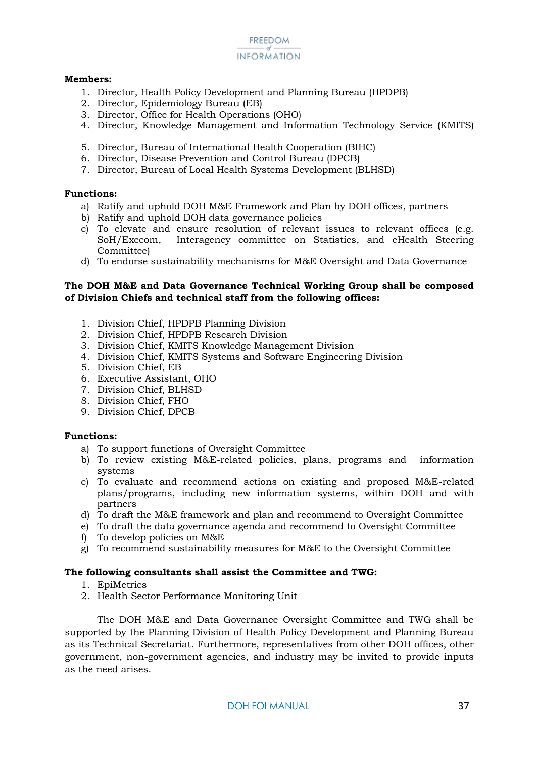#### **FREEDOM INFORMATION**

#### **Members:**

- 1. Director, Health Policy Development and Planning Bureau (HPDPB)
- 2. Director, Epidemiology Bureau (EB)
- 3. Director, Office for Health Operations (OHO)
- 4. Director, Knowledge Management and Information Technology Service (KMITS)
- 5. Director, Bureau of International Health Cooperation (BIHC)
- 6. Director, Disease Prevention and Control Bureau (DPCB)
- 7. Director, Bureau of Local Health Systems Development (BLHSD)

#### **Functions:**

- a) Ratify and uphold DOH M&E Framework and Plan by DOH offices, partners
- b) Ratify and uphold DOH data governance policies
- c) To elevate and ensure resolution of relevant issues to relevant offices (e.g. SoH/Execom, Interagency committee on Statistics, and eHealth Steering Committee)
- d) To endorse sustainability mechanisms for M&E Oversight and Data Governance

#### **The DOH M&E and Data Governance Technical Working Group shall be composed of Division Chiefs and technical staff from the following offices:**

- 1. Division Chief, HPDPB Planning Division
- 2. Division Chief, HPDPB Research Division
- 3. Division Chief, KMITS Knowledge Management Division
- 4. Division Chief, KMITS Systems and Software Engineering Division
- 5. Division Chief, EB
- 6. Executive Assistant, OHO
- 7. Division Chief, BLHSD
- 8. Division Chief, FHO
- 9. Division Chief, DPCB

#### **Functions:**

- a) To support functions of Oversight Committee
- b) To review existing M&E-related policies, plans, programs and information systems
- c) To evaluate and recommend actions on existing and proposed M&E-related plans/programs, including new information systems, within DOH and with partners
- d) To draft the M&E framework and plan and recommend to Oversight Committee
- e) To draft the data governance agenda and recommend to Oversight Committee
- f) To develop policies on M&E
- g) To recommend sustainability measures for M&E to the Oversight Committee

#### **The following consultants shall assist the Committee and TWG:**

- 1. EpiMetrics
- 2. Health Sector Performance Monitoring Unit

The DOH M&E and Data Governance Oversight Committee and TWG shall be supported by the Planning Division of Health Policy Development and Planning Bureau as its Technical Secretariat. Furthermore, representatives from other DOH offices, other government, non-government agencies, and industry may be invited to provide inputs as the need arises.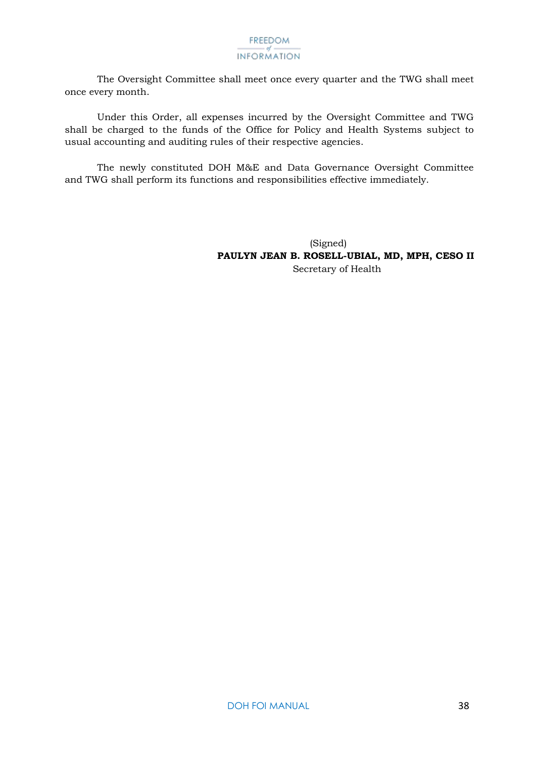The Oversight Committee shall meet once every quarter and the TWG shall meet once every month.

Under this Order, all expenses incurred by the Oversight Committee and TWG shall be charged to the funds of the Office for Policy and Health Systems subject to usual accounting and auditing rules of their respective agencies.

The newly constituted DOH M&E and Data Governance Oversight Committee and TWG shall perform its functions and responsibilities effective immediately.

> (Signed) **PAULYN JEAN B. ROSELL-UBIAL, MD, MPH, CESO II** Secretary of Health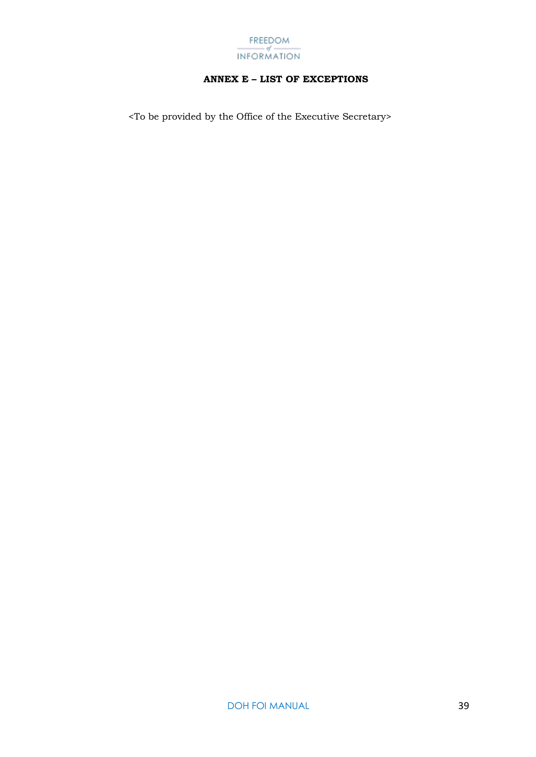

#### **ANNEX E – LIST OF EXCEPTIONS**

<span id="page-39-0"></span><To be provided by the Office of the Executive Secretary>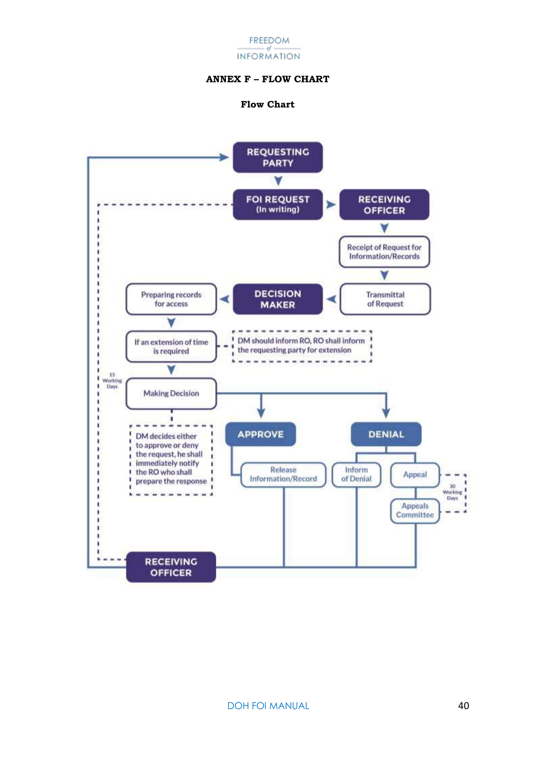#### FREEDOM - of -**INFORMATION**

#### **ANNEX F – FLOW CHART**

#### **Flow Chart**

<span id="page-40-0"></span>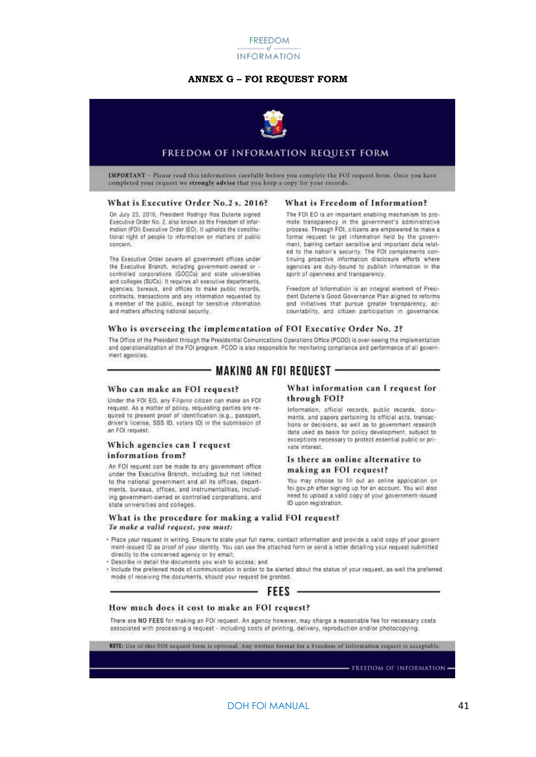

#### **ANNEX G – FOI REQUEST FORM**



#### FREEDOM OF INFORMATION REQUEST FORM

<span id="page-41-0"></span>IMPORTANT - Please read this information carefully before you complete the FOI request form. Once you have completed your request we strongly advise that you keep a copy for your records.

#### What is Executive Order No.2 s. 2016?

On July 23, 2016, President Rodrigo Roa Duterte signed Executive Order No. 2, also known as the Freedom of Information (FOI) Executive Order (EO). It upholds the constitutional right of people to information on matters of public concern.

The Executive Order covers all government offices under the Executive Branch, including government-owned or the Executive Branch, including government-owned or<br>controlled corporations (GOCCs) and state universities<br>and colleges (SUCs). It requires all executive departments, agencies, bureaus, and offices to make public records. contracts, transactions and any information requested by a member of the public, except for sensitive information and matters affecting national security.

#### What is Freedom of Information?

The FOI EO is an important enabling mechanism to promote transparency in the government's administrative process. Through FOI, citizens are empowered to make a formal request to get information held by the government, barring certain sensitive and important data related to the nation's security. The FOI complements continuing proactive information disclosure efforts where agencies are duty-bound to publish information in the spirit of openness and transparency.

Freedom of Information is an integral element of President Duterte's Good Governance Plan aligned to reforms and initiatives that pursue greater transparency, accountability, and citizen participation in governance.

#### Who is overseeing the implementation of FOI Executive Order No. 2?

The Office of the President through the Presidential Comunications Operations Office (PCOO) is over-seeing the implementation and operationalization of the FOI program. PCOO is also responsible for monitoring compliance and performance of all government agencies.

#### - MAKING AN FOI REOUEST -

#### Who can make an FOI request?

Under the FOI EO, any Filipino citizen can make an FOI request. As a matter of policy, requesting parties are required to present proof of identification (e.g., passport, driver's license, SSS ID, voters ID) in the submission of an FOI request.

#### Which agencies can I request information from?

An FOI request can be made to any government office under the Executive Branch, including but not limited to the national government and all its offices, departments, bureaus, offices, and instrumentalities, including government-owned or controlled corporations, and state universities and colleges.

#### What information can I request for through FOI?

Information, official records, public records, documents, and papers pertaining to official acts, transactions or decisions, as well as to government research data used as basis for policy development, subject to exceptions necessary to protect essential public or private interest.

#### Is there an online alternative to making an FOI request?

You may choose to fill out an online application on foi.gov.ph after signing up for an account. You will also need to upload a valid copy of your government-issued ID upon registration.

#### What is the procedure for making a valid FOI request? To make a valid request, you must:

- . Place your request in writing. Ensure to state your full name, contact information and provide a valid copy of your govern ment-issued ID as proof of your identity. You can use the attached form or send a letter detailing your request submitted directly to the concerned agency or by email;
- . Describe in detail the documents you wish to access; and
- · Include the preferred mode of communication in order to be alerted about the status of your request, as well the preferred mode of receiving the documents, should your request be granted.



#### How much does it cost to make an FOI request?

There are NO FEES for making an FOI request. An agency however, may charge a reasonable fee for necessary costs associated with processing a request - including costs of printing, delivery, reproduction and/or photocopying

KOTE: Use of this FOI request form is optional. Any written format for a Freedom of Information request is acceptable.

**FREEDOM OF INFORMATION**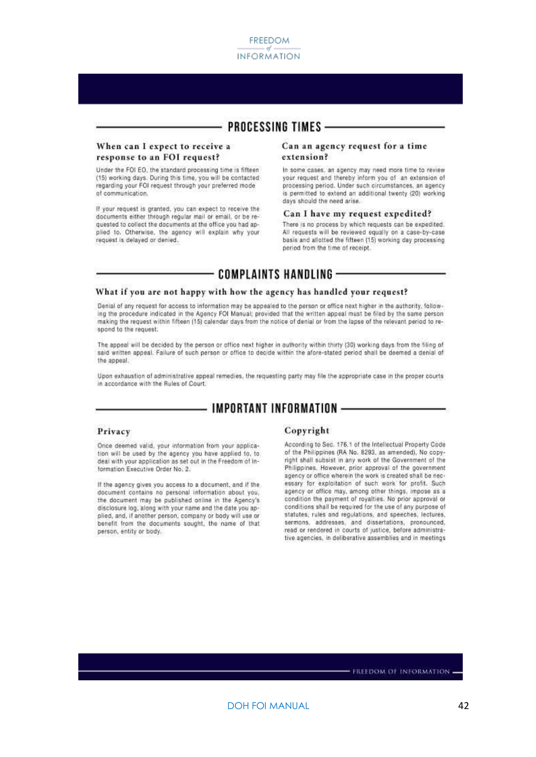

#### **PROCESSING TIMES -**

#### When can I expect to receive a response to an FOI request?

Under the FOI EO, the standard processing time is fifteen (15) working days. During this time, you will be contacted<br>regarding your FOI request through your preferred mode of communication.

If your request is granted, you can expect to receive the documents either through regular mail or email, or be requested to collect the documents at the office you had applied to. Otherwise, the agency will explain why your request is delayed or denied.

#### Can an agency request for a time extension?

In some cases, an apency may need more time to review your request and thereby inform you of an extension of processing period. Under such circumstances, an agency is permitted to extend an additional twenty (20) working days should the need arise.

#### Can I have my request expedited?

There is no process by which requests can be expedited. All requests will be reviewed equally on a case-by-case basis and allotted the fifteen (15) working day processing period from the time of receipt.

#### **COMPLAINTS HANDLING -**

#### What if you are not happy with how the agency has handled your request?

Denial of any request for access to information may be appealed to the person or office next higher in the authority, following the procedure indicated in the Agency FOI Manual; provided that the written appeal must be filed by the same person making the request within fifteen (15) calendar days from the notice of denial or from the lapse of the relevant period to respond to the request.

The appeal will be decided by the person or office next higher in authority within thirty (30) working days from the filing of said written appeal. Failure of such person or office to decide within the afore-stated period shall be deemed a denial of the appeal.

Upon exhaustion of administrative appeal remedies, the requesting party may file the appropriate case in the proper courts in accordance with the Rules of Court.

#### **IMPORTANT INFORMATION -**

#### Privacy

Once deemed valid, your information from your application will be used by the agency you have applied to, to deal with your application as set out in the Freedom of Information Executive Order No. 2.

If the agency gives you access to a document, and if the document contains no personal information about you, the document may be published online in the Agency's disclosure log, along with your name and the date you applied, and, if another person, company or body will use or benefit from the documents sought, the name of that person, entity or body.

#### Copyright

According to Sec. 176.1 of the Intellectual Property Code of the Philippines (RA No. 8293, as amended). No copyright shall subsist in any work of the Government of the Philippines. However, prior approval of the government agency or office wherein the work is created shall be necessary for exploitation of such work for profit. Such agency or office may, among other things, impose as a condition the payment of royalties. No prior approval or conditions shall be required for the use of any purpose of statutes, rules and regulations, and speeches, lectures, sermons, addresses, and dissertations, pronounced, read or rendered in courts of justice, before administrative agencies, in deliberative assemblies and in meetings

FREEDOM OF INFORMATION .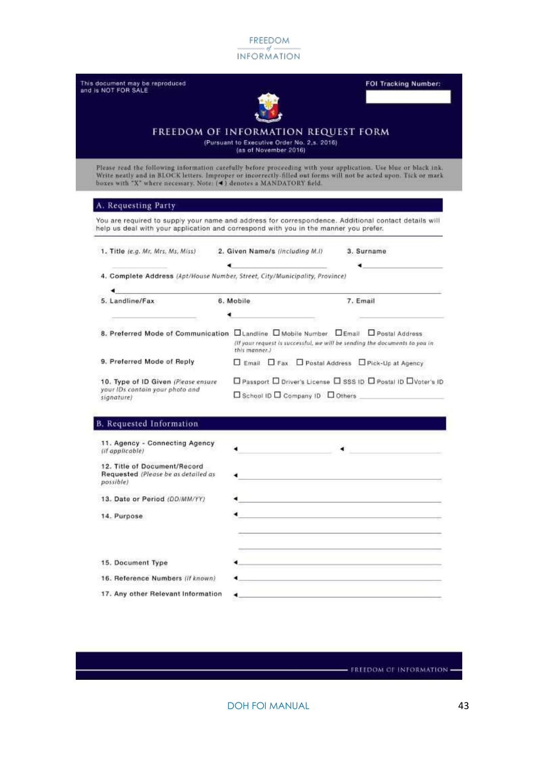| This document may be reproduced<br>and is NOT FOR SALE                                                                                                                                                                                                                                                      |                                                    | <b>FOI Tracking Number:</b>                                                |  |  |  |
|-------------------------------------------------------------------------------------------------------------------------------------------------------------------------------------------------------------------------------------------------------------------------------------------------------------|----------------------------------------------------|----------------------------------------------------------------------------|--|--|--|
| FREEDOM OF INFORMATION REQUEST FORM<br>(Pursuant to Executive Order No. 2,s. 2016).<br>(as of November 2016)                                                                                                                                                                                                |                                                    |                                                                            |  |  |  |
| Please read the following information carefully before proceeding with your application. Use blue or black ink.<br>Write neatly and in BLOCK letters. Improper or incorrectly-filled out forms will not be acted upon. Tick or mark<br>boxes with "X" where necessary. Note: (4) denotes a MANDATORY field. |                                                    |                                                                            |  |  |  |
| A. Requesting Party                                                                                                                                                                                                                                                                                         |                                                    |                                                                            |  |  |  |
| You are required to supply your name and address for correspondence. Additional contact details will<br>help us deal with your application and correspond with you in the manner you prefer.                                                                                                                |                                                    |                                                                            |  |  |  |
| 1. Title (e.g. Mr, Mrs, Ms, Miss)                                                                                                                                                                                                                                                                           | 2. Given Name/s (including M.I)                    | 3. Surname                                                                 |  |  |  |
| 4. Complete Address (Apt/House Number, Street, City/Municipality, Province)                                                                                                                                                                                                                                 |                                                    |                                                                            |  |  |  |
|                                                                                                                                                                                                                                                                                                             |                                                    |                                                                            |  |  |  |
| 5. Landline/Fax                                                                                                                                                                                                                                                                                             | 6. Mobile                                          | 7. Email                                                                   |  |  |  |
| 8. Preferred Mode of Communication Litandline Li Mobile Number Li Email D Postal Address                                                                                                                                                                                                                    | this manner.)                                      | (If your request is successful, we will be sending the documents to you in |  |  |  |
| 9. Preferred Mode of Reply                                                                                                                                                                                                                                                                                  | □ Email □ Fax □ Postal Address □ Pick-Up at Agency |                                                                            |  |  |  |
| 10. Type of ID Given (Please ensure<br>your IDs contain your photo and<br>signature)                                                                                                                                                                                                                        | □ School ID □ Company ID □ Others                  | □ Passport □ Driver's License □ SSS ID □ Postal ID □ Voter's ID            |  |  |  |
| <b>B.</b> Requested Information                                                                                                                                                                                                                                                                             |                                                    |                                                                            |  |  |  |
| 11. Agency - Connecting Agency<br>(if applicable)                                                                                                                                                                                                                                                           |                                                    |                                                                            |  |  |  |
| 12. Title of Document/Record<br>Requested (Please be as detailed as<br>possible)                                                                                                                                                                                                                            |                                                    |                                                                            |  |  |  |
| 13. Date or Period (DD/MM/YY)                                                                                                                                                                                                                                                                               |                                                    | the control of the control of the control of the control of the control of |  |  |  |
| 14. Purpose                                                                                                                                                                                                                                                                                                 |                                                    |                                                                            |  |  |  |
| 15. Document Type                                                                                                                                                                                                                                                                                           |                                                    |                                                                            |  |  |  |
| 16. Reference Numbers (if known)                                                                                                                                                                                                                                                                            |                                                    |                                                                            |  |  |  |
| 17. Any other Relevant Information                                                                                                                                                                                                                                                                          |                                                    |                                                                            |  |  |  |

**EREEDOM OF INFORMATION**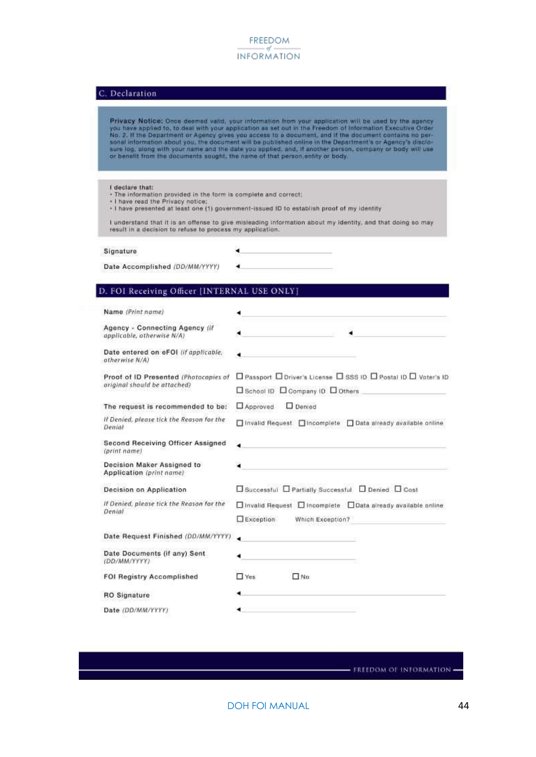#### C. Declaration

Privacy Notice: Once deemed valid, your information from your application will be used by the agency Privacy Notice: Once deemed valid, your internation from your application will be used by the agency<br>you have applied to, to deal with your application as set out in the Freedom of Information Executive Order<br>No. 2. If the

I declare that:

- . The information provided in the form is complete and correct:
- 

Date Accomplished (DD/MM/YYYY)

- I have read the Privacy notice;<br>- I have presented at least one (1) government-issued ID to establish proof of my identity

I understand that it is an offense to give misleading information about my identity, and that doing so may result in a decision to refuse to process my application.

Signature

٠

#### D. FOI Receiving Officer [INTERNAL USE ONLY]

| Name (Print name)                                            |                                                                 |
|--------------------------------------------------------------|-----------------------------------------------------------------|
| Agency - Connecting Agency (if<br>applicable, otherwise N/A) |                                                                 |
| Date entered on eFOI (if applicable,<br>otherwise N/A)       |                                                                 |
| Proof of ID Presented (Photocopies of                        | □ Passport □ Driver's License □ SSS ID □ Postal ID □ Voter's ID |
| original should be attached)                                 | □ School ID □ Company ID □ Others                               |
| The request is recommended to be:                            | Approved<br>Denied                                              |
| If Denied, please tick the Reason for the<br>Denial          | □ Invalid Request □ Incomplete □ Data already available online  |
| Second Receiving Officer Assigned<br>(print name)            |                                                                 |
| Decision Maker Assigned to<br>Application (print name)       |                                                                 |
| Decision on Application                                      | □ Successful □ Partially Successful □ Denied □ Cost             |
| If Denied, please tick the Reason for the                    | □ Invalid Request □ Incomplete □ Data already available online  |
| Denial                                                       | Exception<br>Which Exception?                                   |
| Date Request Finished (DD/MM/YYYY)                           |                                                                 |
| Date Documents (if any) Sent<br>(DD/MM/YYYY)                 |                                                                 |
| <b>FOI Registry Accomplished</b>                             | $\n  1$ No<br>$\Box$ Yes                                        |
| <b>RO</b> Signature                                          |                                                                 |
| Date (DD/MM/YYYY)                                            |                                                                 |

- FREEDOM OF INFORMATION -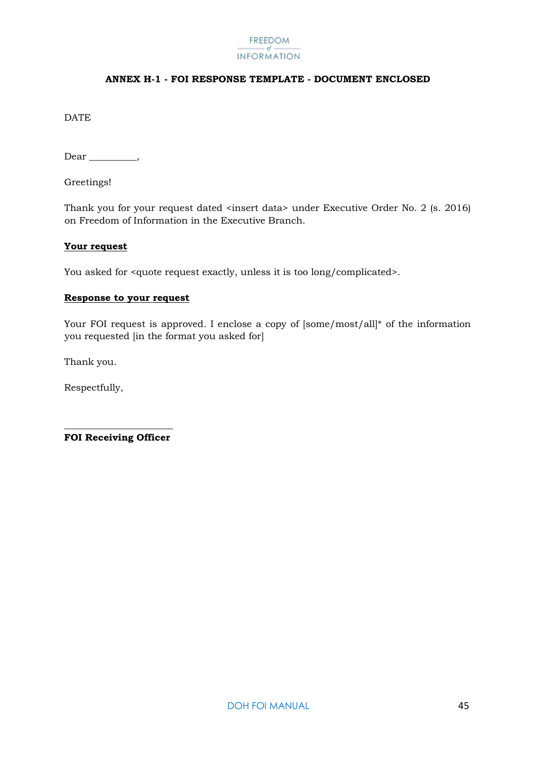#### **ANNEX H-1 - FOI RESPONSE TEMPLATE - DOCUMENT ENCLOSED**

<span id="page-45-0"></span>**DATE** 

Dear \_\_\_\_\_\_\_\_\_\_,

Greetings!

Thank you for your request dated <insert data> under Executive Order No. 2 (s. 2016) on Freedom of Information in the Executive Branch.

#### **Your request**

You asked for <quote request exactly, unless it is too long/complicated>.

#### **Response to your request**

Your FOI request is approved. I enclose a copy of  $|some/most/all|^*$  of the information you requested [in the format you asked for]

Thank you.

Respectfully,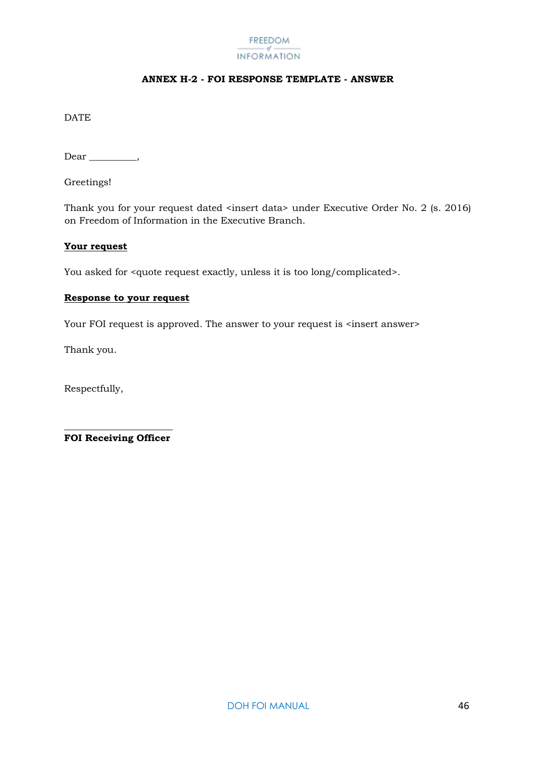#### **ANNEX H-2 - FOI RESPONSE TEMPLATE - ANSWER**

<span id="page-46-0"></span>**DATE** 

Dear \_\_\_\_\_\_\_\_\_\_,

Greetings!

Thank you for your request dated <insert data> under Executive Order No. 2 (s. 2016) on Freedom of Information in the Executive Branch.

#### **Your request**

You asked for <quote request exactly, unless it is too long/complicated>.

#### **Response to your request**

Your FOI request is approved. The answer to your request is <insert answer>

Thank you.

Respectfully,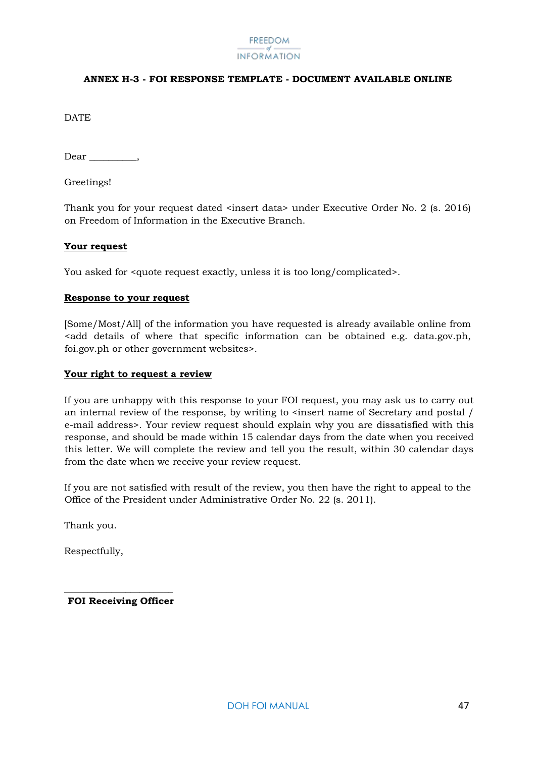#### <span id="page-47-0"></span>**ANNEX H-3 - FOI RESPONSE TEMPLATE - DOCUMENT AVAILABLE ONLINE**

DATE.

Dear \_\_\_\_\_\_\_\_\_\_,

Greetings!

Thank you for your request dated <insert data> under Executive Order No. 2 (s. 2016) on Freedom of Information in the Executive Branch.

#### **Your request**

You asked for  $\alpha$  squote request exactly, unless it is too long/complicated>.

#### **Response to your request**

[Some/Most/All] of the information you have requested is already available online from <add details of where that specific information can be obtained e.g. data.gov.ph, foi.gov.ph or other government websites>.

#### **Your right to request a review**

If you are unhappy with this response to your FOI request, you may ask us to carry out an internal review of the response, by writing to <insert name of Secretary and postal / e-mail address>. Your review request should explain why you are dissatisfied with this response, and should be made within 15 calendar days from the date when you received this letter. We will complete the review and tell you the result, within 30 calendar days from the date when we receive your review request.

If you are not satisfied with result of the review, you then have the right to appeal to the Office of the President under Administrative Order No. 22 (s. 2011).

Thank you.

Respectfully,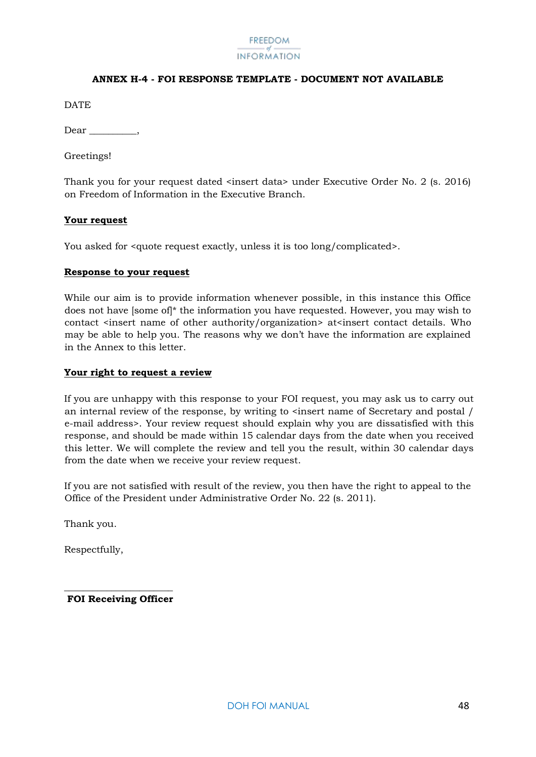#### **ANNEX H-4 - FOI RESPONSE TEMPLATE - DOCUMENT NOT AVAILABLE**

<span id="page-48-0"></span>**DATE** 

Dear,

Greetings!

Thank you for your request dated <insert data> under Executive Order No. 2 (s. 2016) on Freedom of Information in the Executive Branch.

#### **Your request**

You asked for <quote request exactly, unless it is too long/complicated>.

#### **Response to your request**

While our aim is to provide information whenever possible, in this instance this Office does not have [some of]\* the information you have requested. However, you may wish to contact <insert name of other authority/organization> at<insert contact details. Who may be able to help you. The reasons why we don't have the information are explained in the Annex to this letter.

#### **Your right to request a review**

If you are unhappy with this response to your FOI request, you may ask us to carry out an internal review of the response, by writing to  $\le$  insert name of Secretary and postal / e-mail address>. Your review request should explain why you are dissatisfied with this response, and should be made within 15 calendar days from the date when you received this letter. We will complete the review and tell you the result, within 30 calendar days from the date when we receive your review request.

If you are not satisfied with result of the review, you then have the right to appeal to the Office of the President under Administrative Order No. 22 (s. 2011).

Thank you.

Respectfully,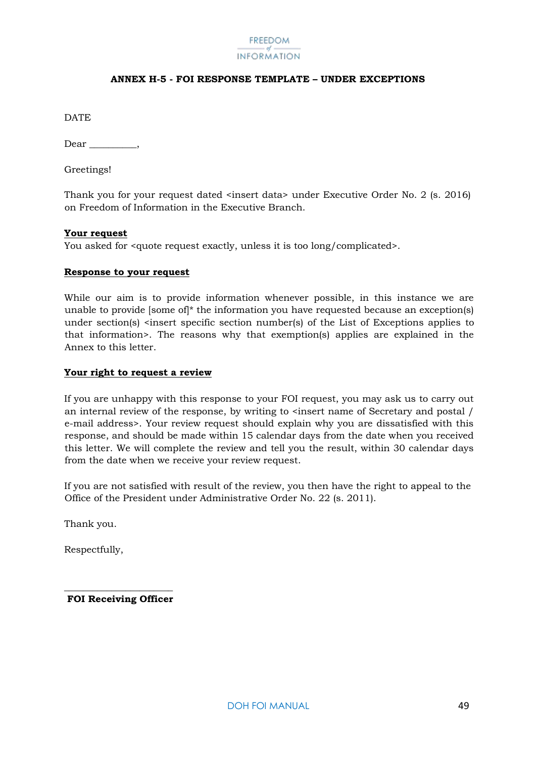#### **ANNEX H-5 - FOI RESPONSE TEMPLATE – UNDER EXCEPTIONS**

<span id="page-49-0"></span>DATE

Dear,

Greetings!

Thank you for your request dated <insert data> under Executive Order No. 2 (s. 2016) on Freedom of Information in the Executive Branch.

#### **Your request**

You asked for <quote request exactly, unless it is too long/complicated>.

#### **Response to your request**

While our aim is to provide information whenever possible, in this instance we are unable to provide [some of]\* the information you have requested because an exception(s) under section(s) <insert specific section number(s) of the List of Exceptions applies to that information>. The reasons why that exemption(s) applies are explained in the Annex to this letter.

#### **Your right to request a review**

If you are unhappy with this response to your FOI request, you may ask us to carry out an internal review of the response, by writing to  $\epsilon$  insert name of Secretary and postal / e-mail address>. Your review request should explain why you are dissatisfied with this response, and should be made within 15 calendar days from the date when you received this letter. We will complete the review and tell you the result, within 30 calendar days from the date when we receive your review request.

If you are not satisfied with result of the review, you then have the right to appeal to the Office of the President under Administrative Order No. 22 (s. 2011).

Thank you.

Respectfully,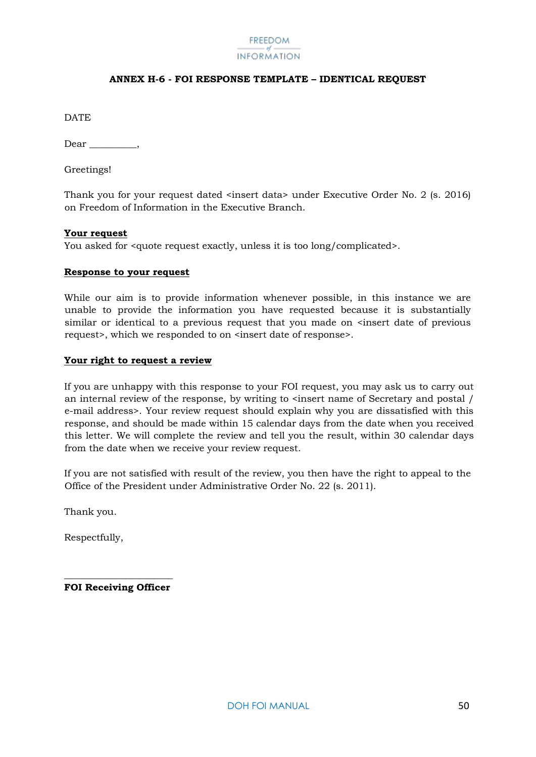#### **ANNEX H-6 - FOI RESPONSE TEMPLATE – IDENTICAL REQUEST**

<span id="page-50-0"></span>DATE

Dear \_\_\_\_\_\_\_\_\_\_,

Greetings!

Thank you for your request dated <insert data> under Executive Order No. 2 (s. 2016) on Freedom of Information in the Executive Branch.

#### **Your request**

You asked for <quote request exactly, unless it is too long/complicated>.

#### **Response to your request**

While our aim is to provide information whenever possible, in this instance we are unable to provide the information you have requested because it is substantially similar or identical to a previous request that you made on  $\leq$  insert date of previous request>, which we responded to on <insert date of response>.

#### **Your right to request a review**

If you are unhappy with this response to your FOI request, you may ask us to carry out an internal review of the response, by writing to  $\leq$  insert name of Secretary and postal / e-mail address>. Your review request should explain why you are dissatisfied with this response, and should be made within 15 calendar days from the date when you received this letter. We will complete the review and tell you the result, within 30 calendar days from the date when we receive your review request.

If you are not satisfied with result of the review, you then have the right to appeal to the Office of the President under Administrative Order No. 22 (s. 2011).

Thank you.

Respectfully,